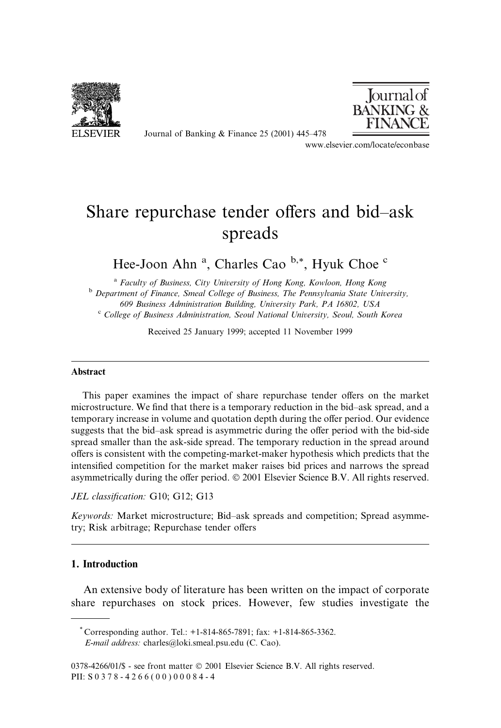

Journal of Banking & Finance 25 (2001) 445 $-478$ 



www.elsevier.com/locate/econbase

# Share repurchase tender offers and bid-ask spreads

Hee-Joon Ahn<sup>a</sup>, Charles Cao<sup>b,\*</sup>, Hyuk Choe<sup>c</sup>

<sup>a</sup> Faculty of Business, City University of Hong Kong, Kowloon, Hong Kong b Department of Finance, Smeal College of Business, The Pennsylvania State University, 609 Business Administration Building, University Park, PA 16802, USA <sup>c</sup> College of Business Administration, Seoul National University, Seoul, South Korea

Received 25 January 1999; accepted 11 November 1999

#### Abstract

This paper examines the impact of share repurchase tender offers on the market microstructure. We find that there is a temporary reduction in the bid-ask spread, and a temporary increase in volume and quotation depth during the offer period. Our evidence suggests that the bid-ask spread is asymmetric during the offer period with the bid-side spread smaller than the ask-side spread. The temporary reduction in the spread around offers is consistent with the competing-market-maker hypothesis which predicts that the intensified competition for the market maker raises bid prices and narrows the spread asymmetrically during the offer period.  $\odot$  2001 Elsevier Science B.V. All rights reserved.

JEL classification: G10; G12; G13

Keywords: Market microstructure; Bid-ask spreads and competition; Spread asymmetry; Risk arbitrage; Repurchase tender offers

# 1. Introduction

An extensive body of literature has been written on the impact of corporate share repurchases on stock prices. However, few studies investigate the

<sup>\*</sup> Corresponding author. Tel.: +1-814-865-7891; fax: +1-814-865-3362. E-mail address: charles@loki.smeal.psu.edu (C. Cao).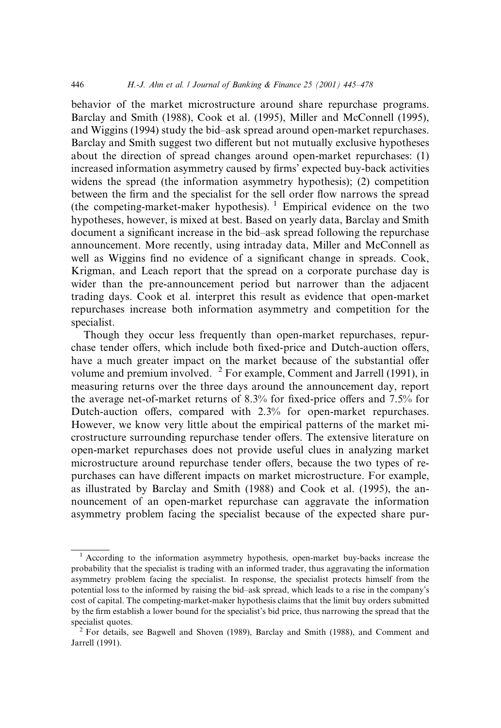behavior of the market microstructure around share repurchase programs. Barclay and Smith (1988), Cook et al. (1995), Miller and McConnell (1995), and Wiggins (1994) study the bid-ask spread around open-market repurchases. Barclay and Smith suggest two different but not mutually exclusive hypotheses about the direction of spread changes around open-market repurchases: (1) increased information asymmetry caused by firms' expected buy-back activities widens the spread (the information asymmetry hypothesis); (2) competition between the firm and the specialist for the sell order flow narrows the spread (the competing-market-maker hypothesis).  $\frac{1}{1}$  Empirical evidence on the two hypotheses, however, is mixed at best. Based on yearly data, Barclay and Smith document a significant increase in the bid-ask spread following the repurchase announcement. More recently, using intraday data, Miller and McConnell as well as Wiggins find no evidence of a significant change in spreads. Cook, Krigman, and Leach report that the spread on a corporate purchase day is wider than the pre-announcement period but narrower than the adjacent trading days. Cook et al. interpret this result as evidence that open-market repurchases increase both information asymmetry and competition for the specialist.

Though they occur less frequently than open-market repurchases, repurchase tender offers, which include both fixed-price and Dutch-auction offers, have a much greater impact on the market because of the substantial offer volume and premium involved. <sup>2</sup> For example, Comment and Jarrell (1991), in measuring returns over the three days around the announcement day, report the average net-of-market returns of  $8.3\%$  for fixed-price offers and  $7.5\%$  for Dutch-auction offers, compared with  $2.3\%$  for open-market repurchases. However, we know very little about the empirical patterns of the market microstructure surrounding repurchase tender offers. The extensive literature on open-market repurchases does not provide useful clues in analyzing market microstructure around repurchase tender offers, because the two types of repurchases can have different impacts on market microstructure. For example, as illustrated by Barclay and Smith (1988) and Cook et al. (1995), the announcement of an open-market repurchase can aggravate the information asymmetry problem facing the specialist because of the expected share pur-

<sup>&</sup>lt;sup>1</sup> According to the information asymmetry hypothesis, open-market buy-backs increase the probability that the specialist is trading with an informed trader, thus aggravating the information asymmetry problem facing the specialist. In response, the specialist protects himself from the potential loss to the informed by raising the bid-ask spread, which leads to a rise in the company's cost of capital. The competing-market-maker hypothesis claims that the limit buy orders submitted by the firm establish a lower bound for the specialist's bid price, thus narrowing the spread that the specialist quotes.<br><sup>2</sup> For details, see Bagwell and Shoven (1989), Barclay and Smith (1988), and Comment and

Jarrell (1991).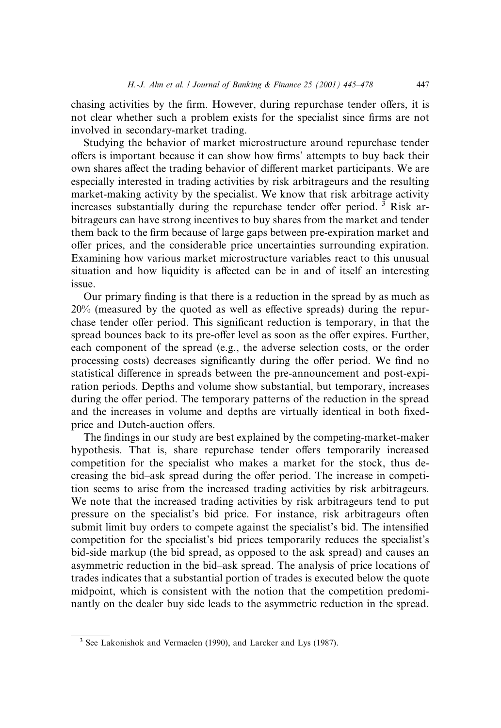chasing activities by the firm. However, during repurchase tender offers, it is not clear whether such a problem exists for the specialist since firms are not involved in secondary-market trading.

Studying the behavior of market microstructure around repurchase tender offers is important because it can show how firms' attempts to buy back their own shares affect the trading behavior of different market participants. We are especially interested in trading activities by risk arbitrageurs and the resulting market-making activity by the specialist. We know that risk arbitrage activity increases substantially during the repurchase tender offer period.<sup>3</sup> Risk arbitrageurs can have strong incentives to buy shares from the market and tender them back to the firm because of large gaps between pre-expiration market and offer prices, and the considerable price uncertainties surrounding expiration. Examining how various market microstructure variables react to this unusual situation and how liquidity is affected can be in and of itself an interesting issue.

Our primary finding is that there is a reduction in the spread by as much as  $20\%$  (measured by the quoted as well as effective spreads) during the repurchase tender offer period. This significant reduction is temporary, in that the spread bounces back to its pre-offer level as soon as the offer expires. Further, each component of the spread (e.g., the adverse selection costs, or the order processing costs) decreases significantly during the offer period. We find no statistical difference in spreads between the pre-announcement and post-expiration periods. Depths and volume show substantial, but temporary, increases during the offer period. The temporary patterns of the reduction in the spread and the increases in volume and depths are virtually identical in both fixedprice and Dutch-auction offers.

The findings in our study are best explained by the competing-market-maker hypothesis. That is, share repurchase tender offers temporarily increased competition for the specialist who makes a market for the stock, thus decreasing the bid-ask spread during the offer period. The increase in competition seems to arise from the increased trading activities by risk arbitrageurs. We note that the increased trading activities by risk arbitrageurs tend to put pressure on the specialist's bid price. For instance, risk arbitrageurs often submit limit buy orders to compete against the specialist's bid. The intensified competition for the specialist's bid prices temporarily reduces the specialist's bid-side markup (the bid spread, as opposed to the ask spread) and causes an asymmetric reduction in the bid±ask spread. The analysis of price locations of trades indicates that a substantial portion of trades is executed below the quote midpoint, which is consistent with the notion that the competition predominantly on the dealer buy side leads to the asymmetric reduction in the spread.

<sup>3</sup> See Lakonishok and Vermaelen (1990), and Larcker and Lys (1987).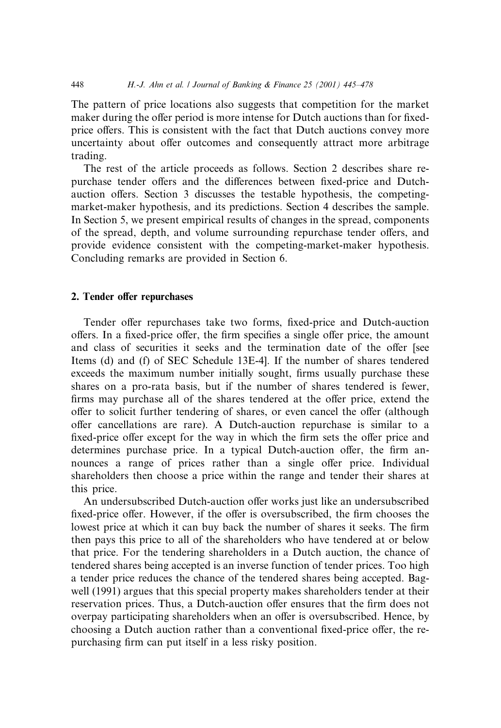The pattern of price locations also suggests that competition for the market maker during the offer period is more intense for Dutch auctions than for fixedprice offers. This is consistent with the fact that Dutch auctions convey more uncertainty about offer outcomes and consequently attract more arbitrage trading.

The rest of the article proceeds as follows. Section 2 describes share repurchase tender offers and the differences between fixed-price and Dutchauction offers. Section 3 discusses the testable hypothesis, the competingmarket-maker hypothesis, and its predictions. Section 4 describes the sample. In Section 5, we present empirical results of changes in the spread, components of the spread, depth, and volume surrounding repurchase tender offers, and provide evidence consistent with the competing-market-maker hypothesis. Concluding remarks are provided in Section 6.

# 2. Tender offer repurchases

Tender offer repurchases take two forms, fixed-price and Dutch-auction offers. In a fixed-price offer, the firm specifies a single offer price, the amount and class of securities it seeks and the termination date of the offer [see Items (d) and (f) of SEC Schedule 13E-4]. If the number of shares tendered exceeds the maximum number initially sought, firms usually purchase these shares on a pro-rata basis, but if the number of shares tendered is fewer, firms may purchase all of the shares tendered at the offer price, extend the offer to solicit further tendering of shares, or even cancel the offer (although offer cancellations are rare). A Dutch-auction repurchase is similar to a fixed-price offer except for the way in which the firm sets the offer price and determines purchase price. In a typical Dutch-auction offer, the firm announces a range of prices rather than a single offer price. Individual shareholders then choose a price within the range and tender their shares at this price.

An undersubscribed Dutch-auction offer works just like an undersubscribed fixed-price offer. However, if the offer is oversubscribed, the firm chooses the lowest price at which it can buy back the number of shares it seeks. The firm then pays this price to all of the shareholders who have tendered at or below that price. For the tendering shareholders in a Dutch auction, the chance of tendered shares being accepted is an inverse function of tender prices. Too high a tender price reduces the chance of the tendered shares being accepted. Bagwell (1991) argues that this special property makes shareholders tender at their reservation prices. Thus, a Dutch-auction offer ensures that the firm does not overpay participating shareholders when an offer is oversubscribed. Hence, by choosing a Dutch auction rather than a conventional fixed-price offer, the repurchasing firm can put itself in a less risky position.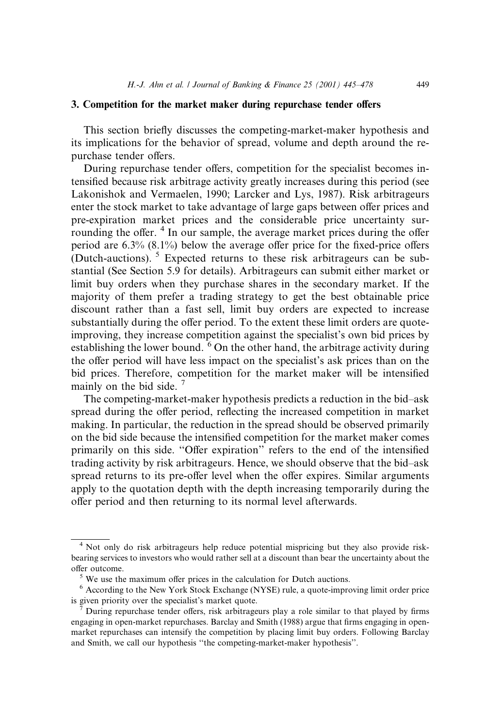#### 3. Competition for the market maker during repurchase tender offers

This section briefly discusses the competing-market-maker hypothesis and its implications for the behavior of spread, volume and depth around the repurchase tender offers.

During repurchase tender offers, competition for the specialist becomes intensified because risk arbitrage activity greatly increases during this period (see Lakonishok and Vermaelen, 1990; Larcker and Lys, 1987). Risk arbitrageurs enter the stock market to take advantage of large gaps between offer prices and pre-expiration market prices and the considerable price uncertainty surrounding the offer. <sup>4</sup> In our sample, the average market prices during the offer period are  $6.3\%$   $(8.1\%)$  below the average offer price for the fixed-price offers (Dutch-auctions). <sup>5</sup> Expected returns to these risk arbitrageurs can be substantial (See Section 5.9 for details). Arbitrageurs can submit either market or limit buy orders when they purchase shares in the secondary market. If the majority of them prefer a trading strategy to get the best obtainable price discount rather than a fast sell, limit buy orders are expected to increase substantially during the offer period. To the extent these limit orders are quoteimproving, they increase competition against the specialist's own bid prices by establishing the lower bound.  $6$  On the other hand, the arbitrage activity during the offer period will have less impact on the specialist's ask prices than on the bid prices. Therefore, competition for the market maker will be intensified mainly on the bid side.<sup>7</sup>

The competing-market-maker hypothesis predicts a reduction in the bid-ask spread during the offer period, reflecting the increased competition in market making. In particular, the reduction in the spread should be observed primarily on the bid side because the intensified competition for the market maker comes primarily on this side. "Offer expiration" refers to the end of the intensified trading activity by risk arbitrageurs. Hence, we should observe that the bid-ask spread returns to its pre-offer level when the offer expires. Similar arguments apply to the quotation depth with the depth increasing temporarily during the offer period and then returning to its normal level afterwards.

<sup>4</sup> Not only do risk arbitrageurs help reduce potential mispricing but they also provide riskbearing services to investors who would rather sell at a discount than bear the uncertainty about the % offer outcome.<br><sup>5</sup> We use the maximum offer prices in the calculation for Dutch auctions.

<sup>6</sup> According to the New York Stock Exchange (NYSE) rule, a quote-improving limit order price is given priority over the specialist's market quote.<br><sup>7</sup> During repurchase tender offers, risk arbitrageurs play a role similar to that played by firms

engaging in open-market repurchases. Barclay and Smith (1988) argue that firms engaging in openmarket repurchases can intensify the competition by placing limit buy orders. Following Barclay and Smith, we call our hypothesis "the competing-market-maker hypothesis".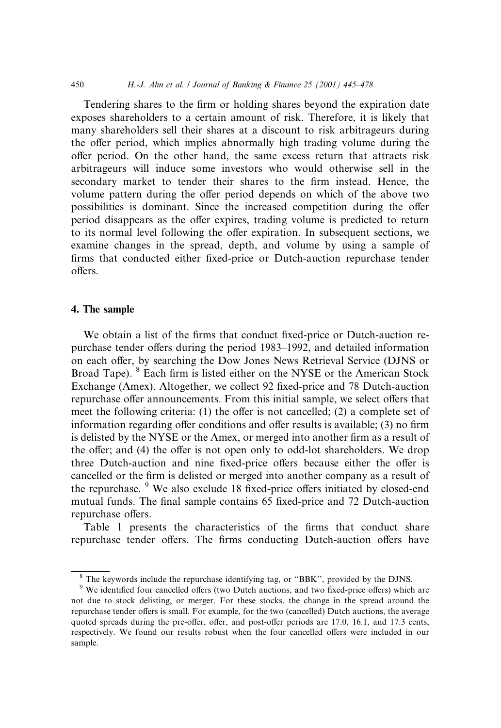Tendering shares to the firm or holding shares beyond the expiration date exposes shareholders to a certain amount of risk. Therefore, it is likely that many shareholders sell their shares at a discount to risk arbitrageurs during the offer period, which implies abnormally high trading volume during the offer period. On the other hand, the same excess return that attracts risk arbitrageurs will induce some investors who would otherwise sell in the secondary market to tender their shares to the firm instead. Hence, the volume pattern during the offer period depends on which of the above two possibilities is dominant. Since the increased competition during the offer period disappears as the offer expires, trading volume is predicted to return to its normal level following the offer expiration. In subsequent sections, we examine changes in the spread, depth, and volume by using a sample of firms that conducted either fixed-price or Dutch-auction repurchase tender offers.

#### 4. The sample

We obtain a list of the firms that conduct fixed-price or Dutch-auction repurchase tender offers during the period 1983–1992, and detailed information on each offer, by searching the Dow Jones News Retrieval Service (DJNS or Broad Tape). <sup>8</sup> Each firm is listed either on the NYSE or the American Stock Exchange (Amex). Altogether, we collect 92 fixed-price and 78 Dutch-auction repurchase offer announcements. From this initial sample, we select offers that meet the following criteria:  $(1)$  the offer is not cancelled;  $(2)$  a complete set of information regarding offer conditions and offer results is available;  $(3)$  no firm is delisted by the NYSE or the Amex, or merged into another firm as a result of the offer; and (4) the offer is not open only to odd-lot shareholders. We drop three Dutch-auction and nine fixed-price offers because either the offer is cancelled or the firm is delisted or merged into another company as a result of the repurchase. <sup>9</sup> We also exclude 18 fixed-price offers initiated by closed-end mutual funds. The final sample contains 65 fixed-price and 72 Dutch-auction repurchase offers.

Table 1 presents the characteristics of the firms that conduct share repurchase tender offers. The firms conducting Dutch-auction offers have

<sup>&</sup>lt;sup>8</sup> The keywords include the repurchase identifying tag, or "BBK", provided by the DJNS.

<sup>&</sup>lt;sup>9</sup> We identified four cancelled offers (two Dutch auctions, and two fixed-price offers) which are not due to stock delisting, or merger. For these stocks, the change in the spread around the repurchase tender offers is small. For example, for the two (cancelled) Dutch auctions, the average quoted spreads during the pre-offer, offer, and post-offer periods are 17.0, 16.1, and 17.3 cents, respectively. We found our results robust when the four cancelled offers were included in our sample.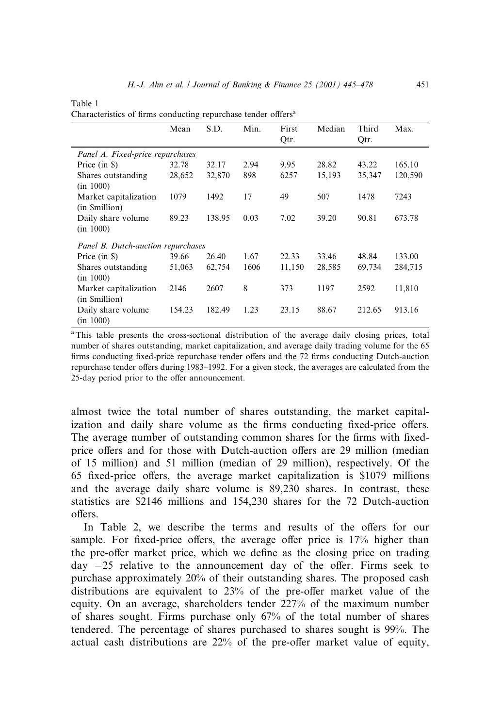| ×<br>۰,<br>٠<br>۰, |  |  |
|--------------------|--|--|
|--------------------|--|--|

| Characteristics of firms conducting repurchase tender offfers <sup>a</sup> |  |  |  |
|----------------------------------------------------------------------------|--|--|--|
|                                                                            |  |  |  |

|                                         | Mean   | S.D.   | Min. | First<br>Qtr. | Median | Third<br>Qtr. | Max.    |
|-----------------------------------------|--------|--------|------|---------------|--------|---------------|---------|
| Panel A. Fixed-price repurchases        |        |        |      |               |        |               |         |
| Price (in \$)                           | 32.78  | 32.17  | 2.94 | 9.95          | 28.82  | 43.22         | 165.10  |
| Shares outstanding<br>(in 1000)         | 28,652 | 32,870 | 898  | 6257          | 15,193 | 35,347        | 120,590 |
| Market capitalization<br>(in \$million) | 1079   | 1492   | 17   | 49            | 507    | 1478          | 7243    |
| Daily share volume<br>(in 1000)         | 89.23  | 138.95 | 0.03 | 7.02          | 39.20  | 90.81         | 673.78  |
| Panel B. Dutch-auction repurchases      |        |        |      |               |        |               |         |
| Price (in \$)                           | 39.66  | 26.40  | 1.67 | 22.33         | 33.46  | 48.84         | 133.00  |
| Shares outstanding<br>(in 1000)         | 51,063 | 62,754 | 1606 | 11,150        | 28,585 | 69,734        | 284,715 |
| Market capitalization<br>(in \$million) | 2146   | 2607   | 8    | 373           | 1197   | 2592          | 11,810  |
| Daily share volume<br>(in 1000)         | 154.23 | 182.49 | 1.23 | 23.15         | 88.67  | 212.65        | 913.16  |

<sup>a</sup>This table presents the cross-sectional distribution of the average daily closing prices, total number of shares outstanding, market capitalization, and average daily trading volume for the 65 firms conducting fixed-price repurchase tender offers and the 72 firms conducting Dutch-auction repurchase tender offers during 1983-1992. For a given stock, the averages are calculated from the 25-day period prior to the offer announcement.

almost twice the total number of shares outstanding, the market capitalization and daily share volume as the firms conducting fixed-price offers. The average number of outstanding common shares for the firms with fixedprice offers and for those with Dutch-auction offers are 29 million (median of 15 million) and 51 million (median of 29 million), respectively. Of the 65 fixed-price offers, the average market capitalization is \$1079 millions and the average daily share volume is 89,230 shares. In contrast, these statistics are \$2146 millions and 154,230 shares for the 72 Dutch-auction offers.

In Table 2, we describe the terms and results of the offers for our sample. For fixed-price offers, the average offer price is  $17%$  higher than the pre-offer market price, which we define as the closing price on trading day  $-25$  relative to the announcement day of the offer. Firms seek to purchase approximately 20% of their outstanding shares. The proposed cash distributions are equivalent to  $23%$  of the pre-offer market value of the equity. On an average, shareholders tender 227% of the maximum number of shares sought. Firms purchase only 67% of the total number of shares tendered. The percentage of shares purchased to shares sought is 99%. The actual cash distributions are  $22%$  of the pre-offer market value of equity,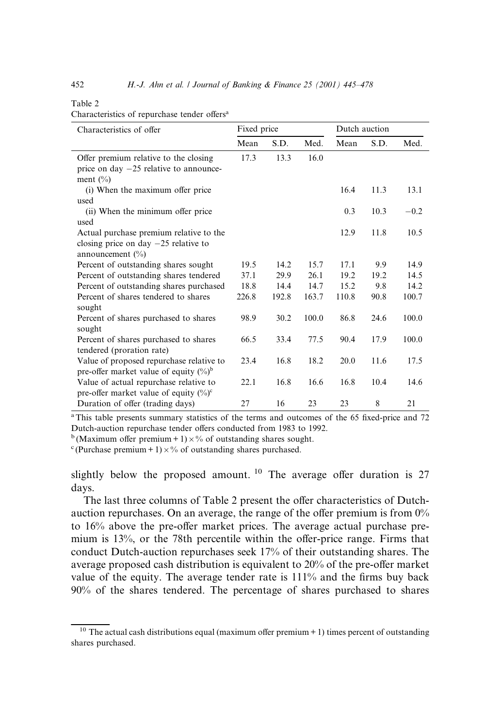#### Table 2

Characteristics of repurchase tender offers<sup>a</sup>

| Characteristics of offer                  | Fixed price |       |       | Dutch auction |      |        |
|-------------------------------------------|-------------|-------|-------|---------------|------|--------|
|                                           | Mean        | S.D.  | Med.  | Mean          | S.D. | Med.   |
| Offer premium relative to the closing     | 17.3        | 13.3  | 16.0  |               |      |        |
| price on day $-25$ relative to announce-  |             |       |       |               |      |        |
| ment $(\% )$                              |             |       |       |               |      |        |
| (i) When the maximum offer price          |             |       |       | 16.4          | 11.3 | 13.1   |
| used                                      |             |       |       |               |      |        |
| (ii) When the minimum offer price         |             |       |       | 0.3           | 10.3 | $-0.2$ |
| used                                      |             |       |       |               |      |        |
| Actual purchase premium relative to the   |             |       |       | 12.9          | 11.8 | 10.5   |
| closing price on day $-25$ relative to    |             |       |       |               |      |        |
| announcement $(\% )$                      |             |       |       |               |      |        |
| Percent of outstanding shares sought      | 19.5        | 14.2  | 15.7  | 17.1          | 9.9  | 14.9   |
| Percent of outstanding shares tendered    | 37.1        | 29.9  | 26.1  | 19.2          | 19.2 | 14.5   |
| Percent of outstanding shares purchased   | 18.8        | 14.4  | 14.7  | 15.2          | 9.8  | 14.2   |
| Percent of shares tendered to shares      | 226.8       | 192.8 | 163.7 | 110.8         | 90.8 | 100.7  |
| sought                                    |             |       |       |               |      |        |
| Percent of shares purchased to shares     | 98.9        | 30.2  | 100.0 | 86.8          | 24.6 | 100.0  |
| sought                                    |             |       |       |               |      |        |
| Percent of shares purchased to shares     | 66.5        | 33.4  | 77.5  | 90.4          | 17.9 | 100.0  |
| tendered (proration rate)                 |             |       |       |               |      |        |
| Value of proposed repurchase relative to  | 23.4        | 16.8  | 18.2  | 20.0          | 11.6 | 17.5   |
| pre-offer market value of equity $(\%)^b$ |             |       |       |               |      |        |
| Value of actual repurchase relative to    | 22.1        | 16.8  | 16.6  | 16.8          | 10.4 | 14.6   |
| pre-offer market value of equity $(\%)^c$ |             |       |       |               |      |        |
| Duration of offer (trading days)          | 27          | 16    | 23    | 23            | 8    | 21     |

<sup>a</sup>This table presents summary statistics of the terms and outcomes of the 65 fixed-price and 72 Dutch-auction repurchase tender offers conducted from 1983 to 1992.

 $b$  (Maximum offer premium + 1)  $\times$ % of outstanding shares sought.

<sup>c</sup>(Purchase premium + 1)  $\times$ % of outstanding shares purchased.

slightly below the proposed amount. <sup>10</sup> The average offer duration is 27 days.

The last three columns of Table 2 present the offer characteristics of Dutchauction repurchases. On an average, the range of the offer premium is from  $0\%$ to 16% above the pre-offer market prices. The average actual purchase premium is  $13\%$ , or the 78th percentile within the offer-price range. Firms that conduct Dutch-auction repurchases seek 17% of their outstanding shares. The average proposed cash distribution is equivalent to 20% of the pre-offer market value of the equity. The average tender rate is  $111\%$  and the firms buy back 90% of the shares tendered. The percentage of shares purchased to shares

<sup>&</sup>lt;sup>10</sup> The actual cash distributions equal (maximum offer premium  $+$  1) times percent of outstanding shares purchased.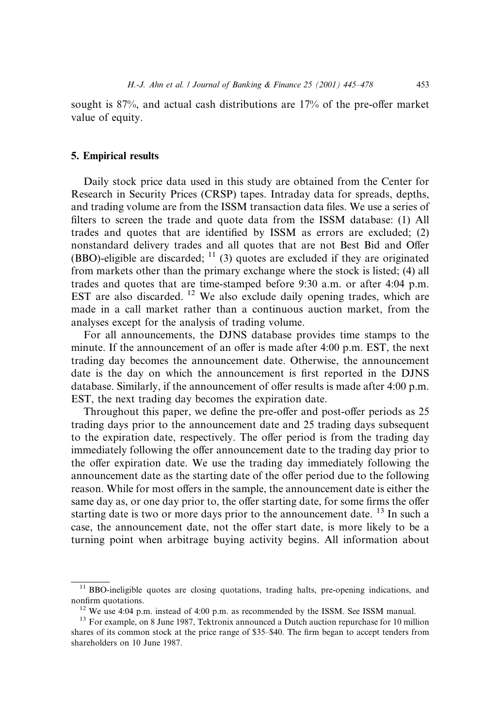sought is  $87\%$ , and actual cash distributions are  $17\%$  of the pre-offer market value of equity.

## 5. Empirical results

Daily stock price data used in this study are obtained from the Center for Research in Security Prices (CRSP) tapes. Intraday data for spreads, depths, and trading volume are from the ISSM transaction data files. We use a series of filters to screen the trade and quote data from the ISSM database: (1) All trades and quotes that are identified by ISSM as errors are excluded;  $(2)$ nonstandard delivery trades and all quotes that are not Best Bid and Offer (BBO)-eligible are discarded;  $\frac{11}{3}$  quotes are excluded if they are originated from markets other than the primary exchange where the stock is listed; (4) all trades and quotes that are time-stamped before 9:30 a.m. or after 4:04 p.m. EST are also discarded.  $12$  We also exclude daily opening trades, which are made in a call market rather than a continuous auction market, from the analyses except for the analysis of trading volume.

For all announcements, the DJNS database provides time stamps to the minute. If the announcement of an offer is made after 4:00 p.m. EST, the next trading day becomes the announcement date. Otherwise, the announcement date is the day on which the announcement is first reported in the DJNS database. Similarly, if the announcement of offer results is made after  $4:00$  p.m. EST, the next trading day becomes the expiration date.

Throughout this paper, we define the pre-offer and post-offer periods as 25 trading days prior to the announcement date and 25 trading days subsequent to the expiration date, respectively. The offer period is from the trading day immediately following the offer announcement date to the trading day prior to the offer expiration date. We use the trading day immediately following the announcement date as the starting date of the offer period due to the following reason. While for most offers in the sample, the announcement date is either the same day as, or one day prior to, the offer starting date, for some firms the offer starting date is two or more days prior to the announcement date.  $^{13}$  In such a case, the announcement date, not the offer start date, is more likely to be a turning point when arbitrage buying activity begins. All information about

<sup>&</sup>lt;sup>11</sup> BBO-ineligible quotes are closing quotations, trading halts, pre-opening indications, and nonfirm quotations.<br><sup>12</sup> We use 4:04 p.m. instead of 4:00 p.m. as recommended by the ISSM. See ISSM manual.<br><sup>13</sup> For example, on 8 June 1987, Tektronix announced a Dutch auction repurchase for 10 million

shares of its common stock at the price range of \$35–\$40. The firm began to accept tenders from shareholders on 10 June 1987.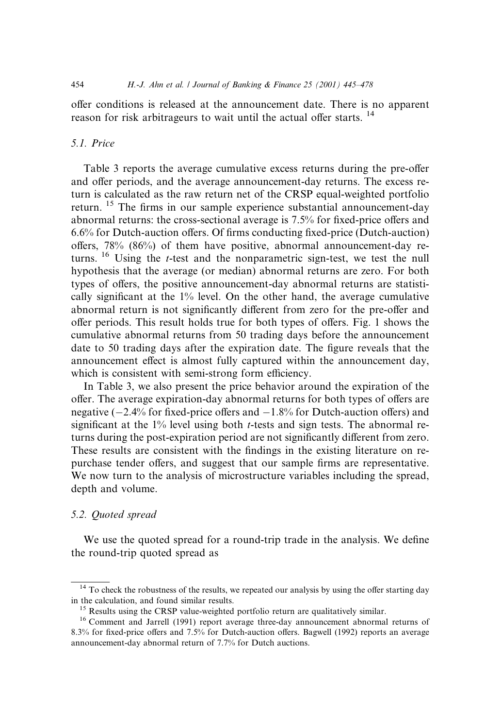offer conditions is released at the announcement date. There is no apparent reason for risk arbitrageurs to wait until the actual offer starts.<sup>14</sup>

## 5.1. Price

Table 3 reports the average cumulative excess returns during the pre-offer and offer periods, and the average announcement-day returns. The excess return is calculated as the raw return net of the CRSP equal-weighted portfolio return. <sup>15</sup> The firms in our sample experience substantial announcement-day abnormal returns: the cross-sectional average is  $7.5\%$  for fixed-price offers and  $6.6\%$  for Dutch-auction offers. Of firms conducting fixed-price (Dutch-auction) offers,  $78\%$  (86%) of them have positive, abnormal announcement-day returns. <sup>16</sup> Using the *t*-test and the nonparametric sign-test, we test the null hypothesis that the average (or median) abnormal returns are zero. For both types of offers, the positive announcement-day abnormal returns are statistically significant at the  $1\%$  level. On the other hand, the average cumulative abnormal return is not significantly different from zero for the pre-offer and offer periods. This result holds true for both types of offers. Fig. 1 shows the cumulative abnormal returns from 50 trading days before the announcement date to 50 trading days after the expiration date. The figure reveals that the announcement effect is almost fully captured within the announcement day, which is consistent with semi-strong form efficiency.

In Table 3, we also present the price behavior around the expiration of the offer. The average expiration-day abnormal returns for both types of offers are negative  $(-2.4\%$  for fixed-price offers and  $-1.8\%$  for Dutch-auction offers) and significant at the  $1\%$  level using both *t*-tests and sign tests. The abnormal returns during the post-expiration period are not significantly different from zero. These results are consistent with the findings in the existing literature on repurchase tender offers, and suggest that our sample firms are representative. We now turn to the analysis of microstructure variables including the spread, depth and volume.

# 5.2. Quoted spread

We use the quoted spread for a round-trip trade in the analysis. We define the round-trip quoted spread as

 $14$  To check the robustness of the results, we repeated our analysis by using the offer starting day in the calculation, and found similar results.<br><sup>15</sup> Results using the CRSP value-weighted portfolio return are qualitatively similar.<br><sup>16</sup> Comment and Jarrell (1991) report average three-day announcement abnormal returns

<sup>8.3%</sup> for fixed-price offers and 7.5% for Dutch-auction offers. Bagwell (1992) reports an average announcement-day abnormal return of 7.7% for Dutch auctions.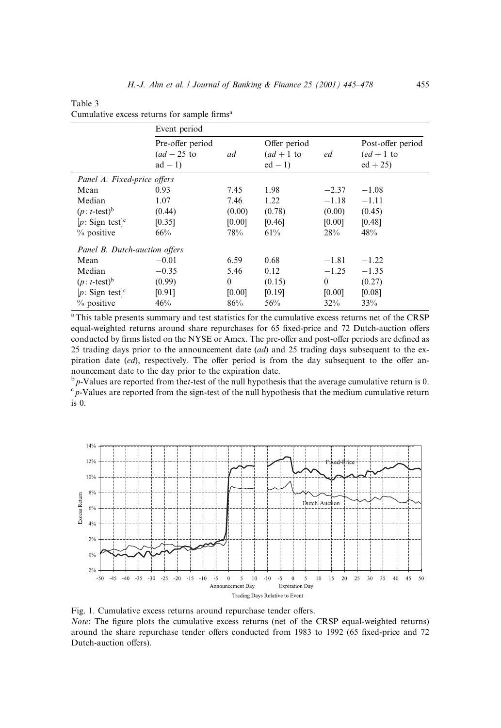|                               | Event period                                |          |                                      |          |                                              |
|-------------------------------|---------------------------------------------|----------|--------------------------------------|----------|----------------------------------------------|
|                               | Pre-offer period<br>$(ad-25$ to<br>$ad - 1$ | ad       | Offer period<br>$(ad+1$ to<br>$ed-1$ | ed       | Post-offer period<br>$(ed+1$ to<br>$ed + 25$ |
| Panel A. Fixed-price offers   |                                             |          |                                      |          |                                              |
| Mean                          | 0.93                                        | 7.45     | 1.98                                 | $-2.37$  | $-1.08$                                      |
| Median                        | 1.07                                        | 7.46     | 1.22                                 | $-1.18$  | $-1.11$                                      |
| $(p: t\text{-test})^b$        | (0.44)                                      | (0.00)   | (0.78)                               | (0.00)   | (0.45)                                       |
| $[p: Sign test]$ <sup>c</sup> | [0.35]                                      | [0.00]   | [0.46]                               | [0.00]   | [0.48]                                       |
| $%$ positive                  | 66%                                         | 78%      | 61%                                  | 28%      | 48%                                          |
| Panel B. Dutch-auction offers |                                             |          |                                      |          |                                              |
| Mean                          | $-0.01$                                     | 6.59     | 0.68                                 | $-1.81$  | $-1.22$                                      |
| Median                        | $-0.35$                                     | 5.46     | 0.12                                 | $-1.25$  | $-1.35$                                      |
| $(p: t\text{-test})^b$        | (0.99)                                      | $\theta$ | (0.15)                               | $\theta$ | (0.27)                                       |
| $[p: Sign test]$ <sup>c</sup> | [0.91]                                      | [0.00]   | [0.19]                               | [0.00]   | [0.08]                                       |
| $%$ positive                  | 46%                                         | 86%      | 56%                                  | 32%      | 33%                                          |

Table 3 Cumulative excess returns for sample firms<sup>a</sup>

aThis table presents summary and test statistics for the cumulative excess returns net of the CRSP equal-weighted returns around share repurchases for 65 fixed-price and 72 Dutch-auction offers conducted by firms listed on the NYSE or Amex. The pre-offer and post-offer periods are defined as 25 trading days prior to the announcement date  $(ad)$  and 25 trading days subsequent to the expiration date  $(ed)$ , respectively. The offer period is from the day subsequent to the offer announcement date to the day prior to the expiration date.

 $b<sub>p</sub>$ -Values are reported from thet-test of the null hypothesis that the average cumulative return is 0.  $\int_{0}^{\infty} p$ -Values are reported from the sign-test of the null hypothesis that the medium cumulative return is 0.



Fig. 1. Cumulative excess returns around repurchase tender offers. Note: The figure plots the cumulative excess returns (net of the CRSP equal-weighted returns) around the share repurchase tender offers conducted from 1983 to 1992 (65 fixed-price and 72 Dutch-auction offers).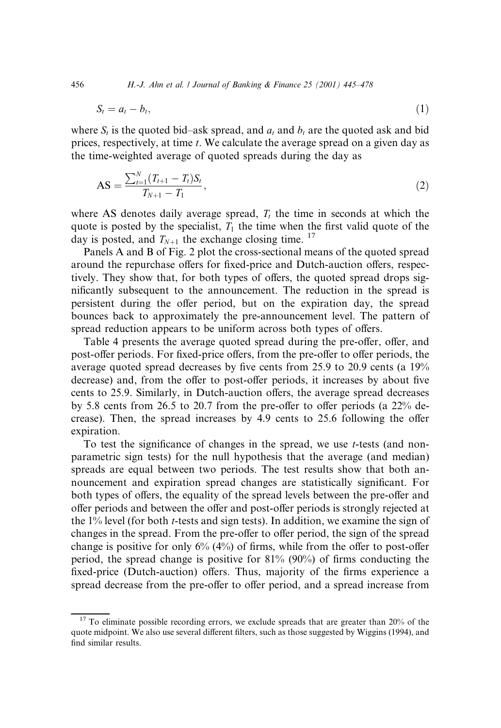456 **H.**-J. Ahn et al. *| Journal of Banking & Finance*  $25 (2001) 445-478$ 

$$
S_t = a_t - b_t,\tag{1}
$$

where  $S_t$  is the quoted bid-ask spread, and  $a_t$  and  $b_t$  are the quoted ask and bid prices, respectively, at time t. We calculate the average spread on a given day as the time-weighted average of quoted spreads during the day as

$$
AS = \frac{\sum_{t=1}^{N} (T_{t+1} - T_t)S_t}{T_{N+1} - T_1},
$$
\n(2)

where AS denotes daily average spread,  $T_t$  the time in seconds at which the quote is posted by the specialist,  $T_1$  the time when the first valid quote of the day is posted, and  $T_{N+1}$  the exchange closing time. <sup>17</sup>

Panels A and B of Fig. 2 plot the cross-sectional means of the quoted spread around the repurchase offers for fixed-price and Dutch-auction offers, respectively. They show that, for both types of offers, the quoted spread drops significantly subsequent to the announcement. The reduction in the spread is persistent during the offer period, but on the expiration day, the spread bounces back to approximately the pre-announcement level. The pattern of spread reduction appears to be uniform across both types of offers.

Table 4 presents the average quoted spread during the pre-offer, offer, and post-offer periods. For fixed-price offers, from the pre-offer to offer periods, the average quoted spread decreases by five cents from  $25.9$  to  $20.9$  cents (a  $19\%$ decrease) and, from the offer to post-offer periods, it increases by about five cents to 25.9. Similarly, in Dutch-auction offers, the average spread decreases by 5.8 cents from 26.5 to 20.7 from the pre-offer to offer periods (a  $22\%$  decrease). Then, the spread increases by  $4.9$  cents to  $25.6$  following the offer expiration.

To test the significance of changes in the spread, we use  $t$ -tests (and nonparametric sign tests) for the null hypothesis that the average (and median) spreads are equal between two periods. The test results show that both announcement and expiration spread changes are statistically significant. For both types of offers, the equality of the spread levels between the pre-offer and offer periods and between the offer and post-offer periods is strongly rejected at the  $1\%$  level (for both *t*-tests and sign tests). In addition, we examine the sign of changes in the spread. From the pre-offer to offer period, the sign of the spread change is positive for only  $6\%$  ( $4\%$ ) of firms, while from the offer to post-offer period, the spread change is positive for  $81\%$  (90%) of firms conducting the fixed-price (Dutch-auction) offers. Thus, majority of the firms experience a spread decrease from the pre-offer to offer period, and a spread increase from

 $17$  To eliminate possible recording errors, we exclude spreads that are greater than  $20\%$  of the quote midpoint. We also use several different filters, such as those suggested by Wiggins (1994), and find similar results.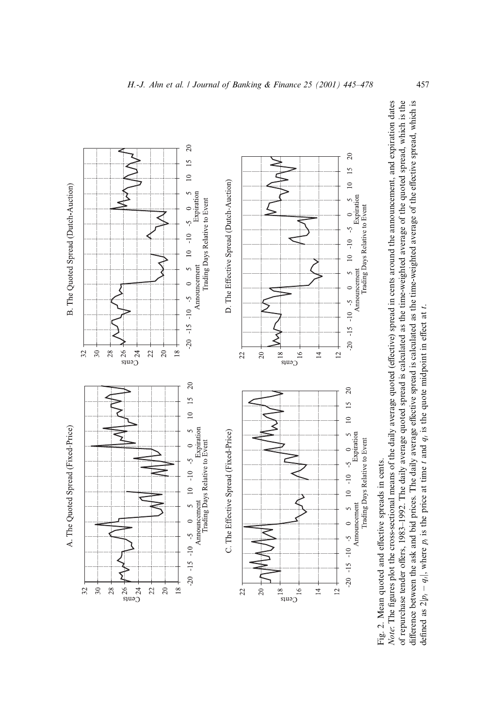



defined as  $2|p_1 - q_1|$ , where  $p_1$  is the price at time t and  $q_1$  is the quote midpoint in effect at t.

defined as  $2|p_1 - q_1|$ , where  $p_i$  is the price at time t and  $q_i$  is the quote midpoint in effect at t.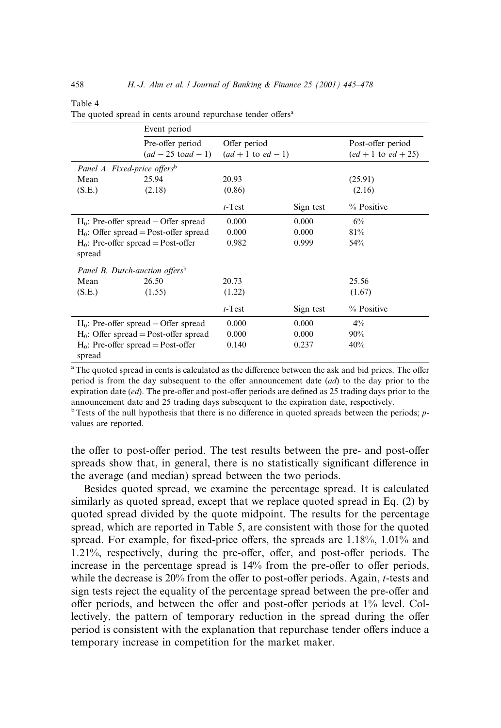|                                                 | Event period                             |                        |           |                       |
|-------------------------------------------------|------------------------------------------|------------------------|-----------|-----------------------|
|                                                 | Pre-offer period                         | Offer period           |           | Post-offer period     |
|                                                 | $(ad - 25 \text{ to } ad - 1)$           | $(ad + 1$ to $ed - 1)$ |           | $(ed + 1 to ed + 25)$ |
| Panel A. Fixed-price offers <sup>b</sup>        |                                          |                        |           |                       |
| Mean                                            | 25.94                                    | 20.93                  |           | (25.91)               |
| (S.E.)                                          | (2.18)                                   | (0.86)                 |           | (2.16)                |
|                                                 |                                          | $t$ -Test              | Sign test | % Positive            |
|                                                 | $H_0$ : Pre-offer spread = Offer spread  | 0.000                  | 0.000     | 6%                    |
|                                                 | $H_0$ : Offer spread = Post-offer spread | 0.000                  | 0.000     | 81%                   |
| $H_0$ : Pre-offer spread = Post-offer<br>spread |                                          | 0.982                  | 0.999     | 54%                   |
| Panel B. Dutch-auction offers <sup>b</sup>      |                                          |                        |           |                       |
| Mean                                            | 26.50                                    | 20.73                  |           | 25.56                 |
| (S.E.)                                          | (1.55)                                   | (1.22)                 |           | (1.67)                |
|                                                 |                                          | $t$ -Test              | Sign test | % Positive            |
|                                                 | $H_0$ : Pre-offer spread = Offer spread  | 0.000                  | 0.000     | $4\%$                 |
| $H_0$ : Offer spread = Post-offer spread        |                                          | 0.000                  | 0.000     | 90%                   |
| $H_0$ : Pre-offer spread = Post-offer<br>spread |                                          | 0.140                  | 0.237     | 40%                   |

#### Table 4

The quoted spread in cents around repurchase tender offers<sup>a</sup>

<sup>a</sup>The quoted spread in cents is calculated as the difference between the ask and bid prices. The offer period is from the day subsequent to the offer announcement date  $(ad)$  to the day prior to the expiration date  $(ed)$ . The pre-offer and post-offer periods are defined as 25 trading days prior to the announcement date and 25 trading days subsequent to the expiration date, respectively.

 $<sup>b</sup>$  Tests of the null hypothesis that there is no difference in quoted spreads between the periods; p-</sup> values are reported.

the offer to post-offer period. The test results between the pre- and post-offer spreads show that, in general, there is no statistically significant difference in the average (and median) spread between the two periods.

Besides quoted spread, we examine the percentage spread. It is calculated similarly as quoted spread, except that we replace quoted spread in Eq. (2) by quoted spread divided by the quote midpoint. The results for the percentage spread, which are reported in Table 5, are consistent with those for the quoted spread. For example, for fixed-price offers, the spreads are  $1.18\%$ ,  $1.01\%$  and  $1.21\%$ , respectively, during the pre-offer, offer, and post-offer periods. The increase in the percentage spread is  $14\%$  from the pre-offer to offer periods, while the decrease is  $20\%$  from the offer to post-offer periods. Again,  $t$ -tests and sign tests reject the equality of the percentage spread between the pre-offer and offer periods, and between the offer and post-offer periods at  $1\%$  level. Collectively, the pattern of temporary reduction in the spread during the offer period is consistent with the explanation that repurchase tender offers induce a temporary increase in competition for the market maker.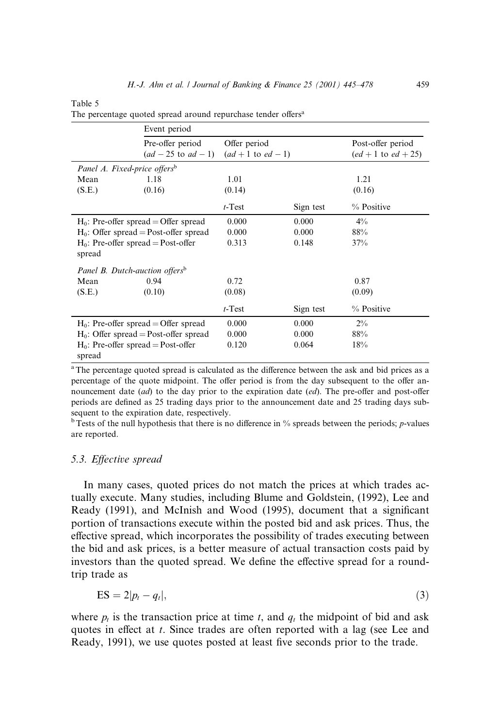| anie |  |
|------|--|
|------|--|

|                                                 | Event period                             |                        |           |                         |
|-------------------------------------------------|------------------------------------------|------------------------|-----------|-------------------------|
|                                                 | Pre-offer period                         | Offer period           |           | Post-offer period       |
|                                                 | $(ad - 25$ to $ad - 1)$                  | $(ad + 1$ to $ed - 1)$ |           | $(ed + 1$ to $ed + 25)$ |
| Panel A. Fixed-price offers <sup>b</sup>        |                                          |                        |           |                         |
| Mean                                            | 1.18                                     | 1.01                   |           | 1.21                    |
| (S.E.)                                          | (0.16)                                   | (0.14)                 |           | (0.16)                  |
|                                                 |                                          | $t$ -Test              | Sign test | % Positive              |
|                                                 | $H_0$ : Pre-offer spread = Offer spread  | 0.000                  | 0.000     | $4\%$                   |
|                                                 | $H_0$ : Offer spread = Post-offer spread | 0.000                  | 0.000     | 88%                     |
| $H_0$ : Pre-offer spread = Post-offer<br>spread |                                          | 0.313                  | 0.148     | 37%                     |
| Panel B. Dutch-auction offers <sup>b</sup>      |                                          |                        |           |                         |
| Mean                                            | 0.94                                     | 0.72                   |           | 0.87                    |
| (S.E.)                                          | (0.10)                                   | (0.08)                 |           | (0.09)                  |
|                                                 |                                          | $t$ -Test              | Sign test | % Positive              |
|                                                 | $H_0$ : Pre-offer spread = Offer spread  | 0.000                  | 0.000     | $2\%$                   |
| $H_0$ : Offer spread = Post-offer spread        |                                          | 0.000                  | 0.000     | 88%                     |
| $H_0$ : Pre-offer spread = Post-offer<br>spread |                                          | 0.120                  | 0.064     | 18%                     |

|  |  | The percentage quoted spread around repurchase tender offers <sup>a</sup> |  |
|--|--|---------------------------------------------------------------------------|--|
|  |  |                                                                           |  |

<sup>a</sup>The percentage quoted spread is calculated as the difference between the ask and bid prices as a percentage of the quote midpoint. The offer period is from the day subsequent to the offer announcement date  $(ad)$  to the day prior to the expiration date  $(ed)$ . The pre-offer and post-offer periods are defined as 25 trading days prior to the announcement date and 25 trading days subsequent to the expiration date, respectively.

 $b$ Tests of the null hypothesis that there is no difference in % spreads between the periods; *p*-values are reported.

# 5.3. Effective spread

In many cases, quoted prices do not match the prices at which trades actually execute. Many studies, including Blume and Goldstein, (1992), Lee and Ready (1991), and McInish and Wood (1995), document that a significant portion of transactions execute within the posted bid and ask prices. Thus, the effective spread, which incorporates the possibility of trades executing between the bid and ask prices, is a better measure of actual transaction costs paid by investors than the quoted spread. We define the effective spread for a roundtrip trade as

$$
ES = 2|p_t - q_t|,
$$
\n(3)

where  $p_t$  is the transaction price at time t, and  $q_t$  the midpoint of bid and ask quotes in effect at  $t$ . Since trades are often reported with a lag (see Lee and Ready, 1991), we use quotes posted at least five seconds prior to the trade.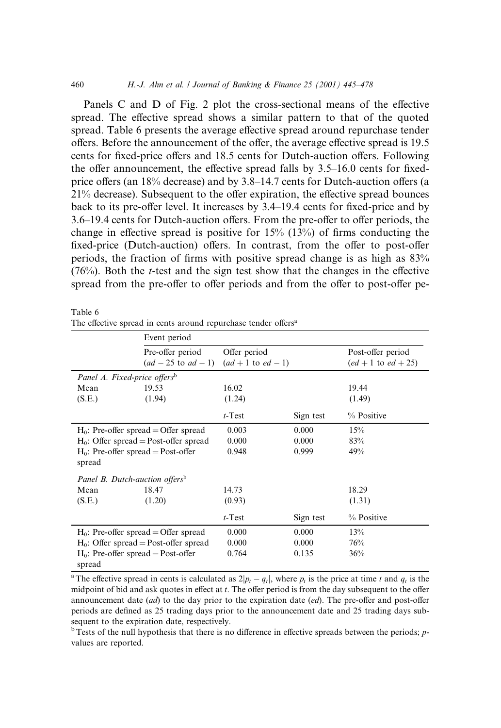Panels C and D of Fig.  $2$  plot the cross-sectional means of the effective spread. The effective spread shows a similar pattern to that of the quoted spread. Table 6 presents the average effective spread around repurchase tender offers. Before the announcement of the offer, the average effective spread is 19.5 cents for fixed-price offers and 18.5 cents for Dutch-auction offers. Following the offer announcement, the effective spread falls by  $3.5-16.0$  cents for fixedprice offers (an  $18\%$  decrease) and by 3.8 $-14.7$  cents for Dutch-auction offers (a  $21\%$  decrease). Subsequent to the offer expiration, the effective spread bounces back to its pre-offer level. It increases by  $3.4-19.4$  cents for fixed-price and by 3.6–19.4 cents for Dutch-auction offers. From the pre-offer to offer periods, the change in effective spread is positive for  $15\%$  ( $13\%$ ) of firms conducting the fixed-price (Dutch-auction) offers. In contrast, from the offer to post-offer periods, the fraction of firms with positive spread change is as high as  $83\%$  $(76%)$ . Both the *t*-test and the sign test show that the changes in the effective spread from the pre-offer to offer periods and from the offer to post-offer pe-

Table 6

|  |  |  | The effective spread in cents around repurchase tender offers <sup>a</sup> |  |
|--|--|--|----------------------------------------------------------------------------|--|
|  |  |  |                                                                            |  |

|                                                 | Event period                             |                        |           |                       |
|-------------------------------------------------|------------------------------------------|------------------------|-----------|-----------------------|
|                                                 | Pre-offer period                         | Offer period           |           | Post-offer period     |
|                                                 | $(ad - 25$ to $ad - 1)$                  | $(ad + 1$ to $ed - 1)$ |           | $(ed + 1 to ed + 25)$ |
| Panel A. Fixed-price offers <sup>b</sup>        |                                          |                        |           |                       |
| Mean                                            | 19.53                                    | 16.02                  |           | 19.44                 |
| (S.E.)                                          | (1.94)                                   | (1.24)                 |           | (1.49)                |
|                                                 |                                          | $t$ -Test              | Sign test | % Positive            |
|                                                 | $H_0$ : Pre-offer spread = Offer spread  | 0.003                  | 0.000     | 15%                   |
| $H_0$ : Offer spread = Post-offer spread        |                                          | 0.000                  | 0.000     | 83%                   |
| $H_0$ : Pre-offer spread = Post-offer<br>spread |                                          | 0.948                  | 0.999     | 49%                   |
| Panel B. Dutch-auction offers <sup>b</sup>      |                                          |                        |           |                       |
| Mean                                            | 18.47                                    | 14.73                  |           | 18.29                 |
| (S.E.)                                          | (1.20)                                   | (0.93)                 |           | (1.31)                |
|                                                 |                                          | $t$ -Test              | Sign test | % Positive            |
|                                                 | $H_0$ : Pre-offer spread = Offer spread  | 0.000                  | 0.000     | 13%                   |
|                                                 | $H_0$ : Offer spread = Post-offer spread | 0.000                  | 0.000     | 76%                   |
| $H_0$ : Pre-offer spread = Post-offer<br>spread |                                          | 0.764                  | 0.135     | 36%                   |

<sup>a</sup>The effective spread in cents is calculated as  $2|p_t - q_t|$ , where  $p_t$  is the price at time t and  $q_t$  is the midpoint of bid and ask quotes in effect at  $t$ . The offer period is from the day subsequent to the offer announcement date  $(ad)$  to the day prior to the expiration date  $(ed)$ . The pre-offer and post-offer periods are defined as 25 trading days prior to the announcement date and 25 trading days subsequent to the expiration date, respectively.

 $b$ <sup>b</sup> Tests of the null hypothesis that there is no difference in effective spreads between the periods; *p*values are reported.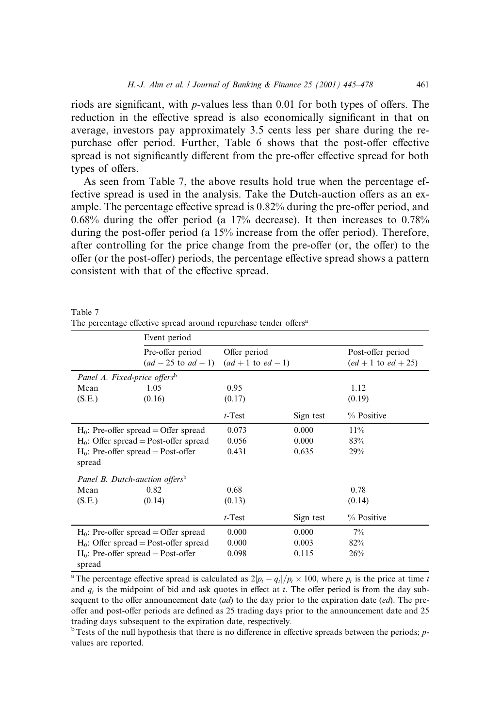riods are significant, with *p*-values less than 0.01 for both types of offers. The reduction in the effective spread is also economically significant in that on average, investors pay approximately 3.5 cents less per share during the repurchase offer period. Further, Table 6 shows that the post-offer effective spread is not significantly different from the pre-offer effective spread for both types of offers.

As seen from Table 7, the above results hold true when the percentage effective spread is used in the analysis. Take the Dutch-auction offers as an example. The percentage effective spread is  $0.82\%$  during the pre-offer period, and 0.68% during the offer period (a  $17\%$  decrease). It then increases to 0.78% during the post-offer period (a  $15\%$  increase from the offer period). Therefore, after controlling for the price change from the pre-offer (or, the offer) to the offer (or the post-offer) periods, the percentage effective spread shows a pattern consistent with that of the effective spread.

|                                                 | Event period                                |                                        |           |                                            |
|-------------------------------------------------|---------------------------------------------|----------------------------------------|-----------|--------------------------------------------|
|                                                 | Pre-offer period<br>$(ad - 25$ to $ad - 1)$ | Offer period<br>$(ad + 1$ to $ed - 1)$ |           | Post-offer period<br>$(ed + 1 to ed + 25)$ |
|                                                 | Panel A. Fixed-price offers <sup>b</sup>    |                                        |           |                                            |
| Mean                                            | 1.05                                        | 0.95                                   |           | 1.12                                       |
| (S.E.)                                          | (0.16)                                      | (0.17)                                 |           | (0.19)                                     |
|                                                 |                                             | $t$ -Test                              | Sign test | % Positive                                 |
|                                                 | $H_0$ : Pre-offer spread = Offer spread     | 0.073                                  | 0.000     | 11%                                        |
|                                                 | $H_0$ : Offer spread = Post-offer spread    | 0.056                                  | 0.000     | 83%                                        |
| $H_0$ : Pre-offer spread = Post-offer<br>spread |                                             | 0.431                                  | 0.635     | 29%                                        |
|                                                 | Panel B. Dutch-auction offers <sup>b</sup>  |                                        |           |                                            |
| Mean                                            | 0.82                                        | 0.68                                   |           | 0.78                                       |
| (S.E.)                                          | (0.14)                                      | (0.13)                                 |           | (0.14)                                     |
|                                                 |                                             | $t$ -Test                              | Sign test | % Positive                                 |
|                                                 | $H_0$ : Pre-offer spread = Offer spread     | 0.000                                  | 0.000     | $7\%$                                      |
|                                                 | $H_0$ : Offer spread = Post-offer spread    | 0.000                                  | 0.003     | 82%                                        |
| spread                                          | $H_0$ : Pre-offer spread = Post-offer       | 0.098                                  | 0.115     | 26%                                        |

Table 7 The percentage effective spread around repurchase tender offers<sup>a</sup>

<sup>a</sup>The percentage effective spread is calculated as  $2|p_t - q_t|/p_t \times 100$ , where  $p_t$  is the price at time t and  $q_t$  is the midpoint of bid and ask quotes in effect at t. The offer period is from the day subsequent to the offer announcement date  $(ad)$  to the day prior to the expiration date  $(ed)$ . The preoffer and post-offer periods are defined as 25 trading days prior to the announcement date and 25 trading days subsequent to the expiration date, respectively.

 $b$ <sup>b</sup> Tests of the null hypothesis that there is no difference in effective spreads between the periods; *p*values are reported.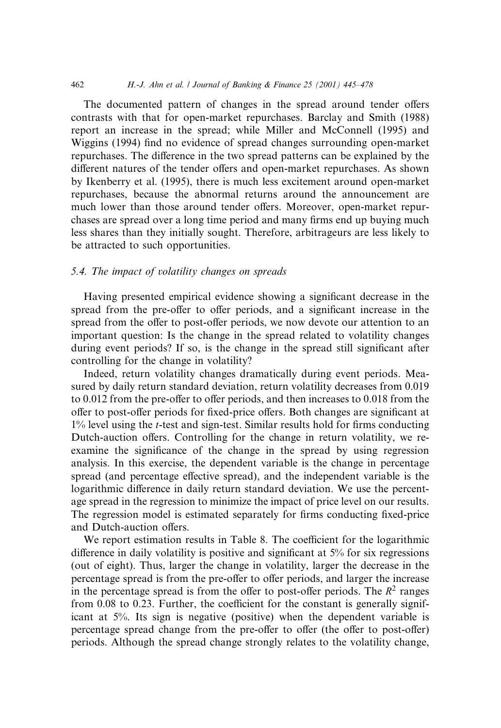The documented pattern of changes in the spread around tender offers contrasts with that for open-market repurchases. Barclay and Smith (1988) report an increase in the spread; while Miller and McConnell (1995) and Wiggins (1994) find no evidence of spread changes surrounding open-market repurchases. The difference in the two spread patterns can be explained by the different natures of the tender offers and open-market repurchases. As shown by Ikenberry et al. (1995), there is much less excitement around open-market repurchases, because the abnormal returns around the announcement are much lower than those around tender offers. Moreover, open-market repurchases are spread over a long time period and many firms end up buying much less shares than they initially sought. Therefore, arbitrageurs are less likely to be attracted to such opportunities.

#### 5.4. The impact of volatility changes on spreads

Having presented empirical evidence showing a significant decrease in the spread from the pre-offer to offer periods, and a significant increase in the spread from the offer to post-offer periods, we now devote our attention to an important question: Is the change in the spread related to volatility changes during event periods? If so, is the change in the spread still significant after controlling for the change in volatility?

Indeed, return volatility changes dramatically during event periods. Measured by daily return standard deviation, return volatility decreases from 0.019 to  $0.012$  from the pre-offer to offer periods, and then increases to  $0.018$  from the offer to post-offer periods for fixed-price offers. Both changes are significant at  $1\%$  level using the *t*-test and sign-test. Similar results hold for firms conducting Dutch-auction offers. Controlling for the change in return volatility, we reexamine the significance of the change in the spread by using regression analysis. In this exercise, the dependent variable is the change in percentage spread (and percentage effective spread), and the independent variable is the logarithmic difference in daily return standard deviation. We use the percentage spread in the regression to minimize the impact of price level on our results. The regression model is estimated separately for firms conducting fixed-price and Dutch-auction offers.

We report estimation results in Table 8. The coefficient for the logarithmic difference in daily volatility is positive and significant at  $5\%$  for six regressions (out of eight). Thus, larger the change in volatility, larger the decrease in the percentage spread is from the pre-offer to offer periods, and larger the increase in the percentage spread is from the offer to post-offer periods. The  $R^2$  ranges from  $0.08$  to  $0.23$ . Further, the coefficient for the constant is generally significant at 5%. Its sign is negative (positive) when the dependent variable is percentage spread change from the pre-offer to offer (the offer to post-offer) periods. Although the spread change strongly relates to the volatility change,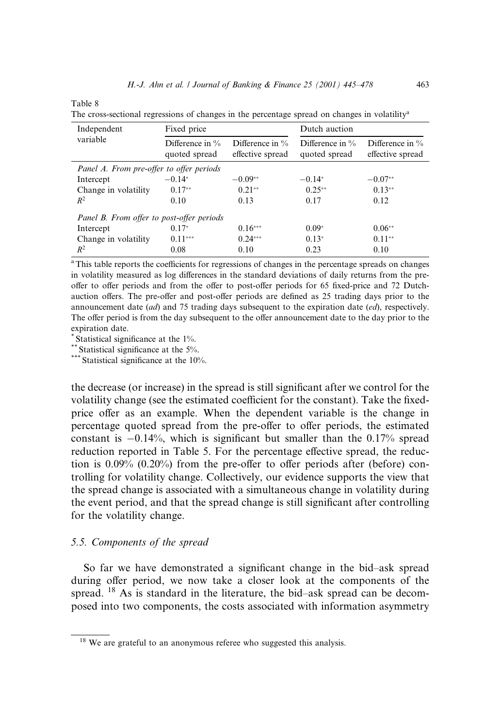Table 8

The cross-sectional regressions of changes in the percentage spread on changes in volatilitya

| Independent                               | Fixed price                         |                                        | Dutch auction                       |                                        |  |  |
|-------------------------------------------|-------------------------------------|----------------------------------------|-------------------------------------|----------------------------------------|--|--|
| variable                                  | Difference in $\%$<br>quoted spread | Difference in $\%$<br>effective spread | Difference in $\%$<br>quoted spread | Difference in $\%$<br>effective spread |  |  |
| Panel A. From pre-offer to offer periods  |                                     |                                        |                                     |                                        |  |  |
| Intercept                                 | $-0.14*$                            | $-0.09**$                              | $-0.14*$                            | $-0.07**$                              |  |  |
| Change in volatility                      | $0.17**$                            | $0.21**$                               | $0.25**$                            | $0.13**$                               |  |  |
| $R^2$                                     | 0.10                                | 0.13                                   | 0.17                                | 0.12                                   |  |  |
| Panel B. From offer to post-offer periods |                                     |                                        |                                     |                                        |  |  |
| Intercept                                 | $0.17*$                             | $0.16***$                              | $0.09*$                             | $0.06**$                               |  |  |
| Change in volatility                      | $0.11***$                           | $0.24***$                              | $0.13*$                             | $0.11**$                               |  |  |
| $R^2$                                     | 0.08                                | 0.10                                   | 0.23                                | 0.10                                   |  |  |

<sup>a</sup>This table reports the coefficients for regressions of changes in the percentage spreads on changes in volatility measured as log differences in the standard deviations of daily returns from the preoffer to offer periods and from the offer to post-offer periods for 65 fixed-price and 72 Dutchauction offers. The pre-offer and post-offer periods are defined as 25 trading days prior to the announcement date  $(ad)$  and 75 trading days subsequent to the expiration date  $(ed)$ , respectively. The offer period is from the day subsequent to the offer announcement date to the day prior to the expiration date.

\* Statistical significance at the 1%.<br>\*\* Statistical significance at the 5%.

\*\*\* Statistical significance at the  $10\%$ .

the decrease (or increase) in the spread is still significant after we control for the volatility change (see the estimated coefficient for the constant). Take the fixedprice offer as an example. When the dependent variable is the change in percentage quoted spread from the pre-offer to offer periods, the estimated constant is  $-0.14\%$ , which is significant but smaller than the 0.17% spread reduction reported in Table 5. For the percentage effective spread, the reduction is  $0.09\%$   $(0.20\%)$  from the pre-offer to offer periods after (before) controlling for volatility change. Collectively, our evidence supports the view that the spread change is associated with a simultaneous change in volatility during the event period, and that the spread change is still significant after controlling for the volatility change.

### 5.5. Components of the spread

So far we have demonstrated a significant change in the bid-ask spread during offer period, we now take a closer look at the components of the spread. <sup>18</sup> As is standard in the literature, the bid-ask spread can be decomposed into two components, the costs associated with information asymmetry

<sup>&</sup>lt;sup>18</sup> We are grateful to an anonymous referee who suggested this analysis.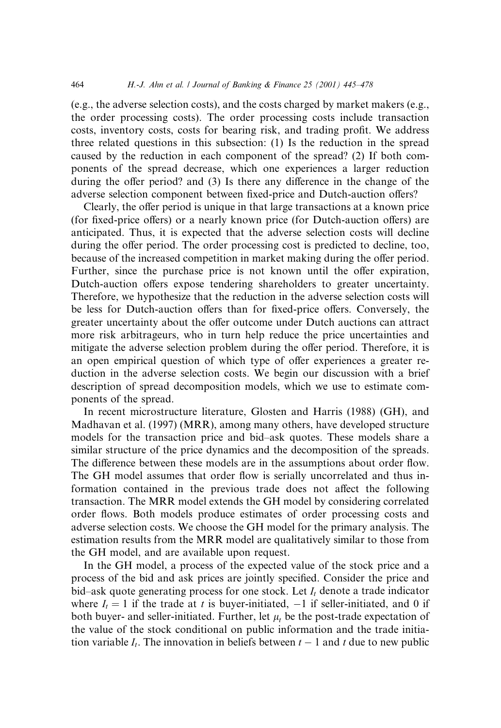(e.g., the adverse selection costs), and the costs charged by market makers (e.g., the order processing costs). The order processing costs include transaction costs, inventory costs, costs for bearing risk, and trading profit. We address three related questions in this subsection: (1) Is the reduction in the spread caused by the reduction in each component of the spread? (2) If both components of the spread decrease, which one experiences a larger reduction during the offer period? and  $(3)$  Is there any difference in the change of the adverse selection component between fixed-price and Dutch-auction offers?

Clearly, the offer period is unique in that large transactions at a known price (for fixed-price offers) or a nearly known price (for Dutch-auction offers) are anticipated. Thus, it is expected that the adverse selection costs will decline during the offer period. The order processing cost is predicted to decline, too, because of the increased competition in market making during the offer period. Further, since the purchase price is not known until the offer expiration, Dutch-auction offers expose tendering shareholders to greater uncertainty. Therefore, we hypothesize that the reduction in the adverse selection costs will be less for Dutch-auction offers than for fixed-price offers. Conversely, the greater uncertainty about the offer outcome under Dutch auctions can attract more risk arbitrageurs, who in turn help reduce the price uncertainties and mitigate the adverse selection problem during the offer period. Therefore, it is an open empirical question of which type of offer experiences a greater reduction in the adverse selection costs. We begin our discussion with a brief description of spread decomposition models, which we use to estimate components of the spread.

In recent microstructure literature, Glosten and Harris (1988) (GH), and Madhavan et al. (1997) (MRR), among many others, have developed structure models for the transaction price and bid-ask quotes. These models share a similar structure of the price dynamics and the decomposition of the spreads. The difference between these models are in the assumptions about order flow. The GH model assumes that order flow is serially uncorrelated and thus information contained in the previous trade does not affect the following transaction. The MRR model extends the GH model by considering correlated order flows. Both models produce estimates of order processing costs and adverse selection costs. We choose the GH model for the primary analysis. The estimation results from the MRR model are qualitatively similar to those from the GH model, and are available upon request.

In the GH model, a process of the expected value of the stock price and a process of the bid and ask prices are jointly specified. Consider the price and bid-ask quote generating process for one stock. Let  $I_t$  denote a trade indicator where  $I_t = 1$  if the trade at t is buyer-initiated,  $-1$  if seller-initiated, and 0 if both buyer- and seller-initiated. Further, let  $\mu_t$  be the post-trade expectation of the value of the stock conditional on public information and the trade initiation variable  $I_t$ . The innovation in beliefs between  $t - 1$  and t due to new public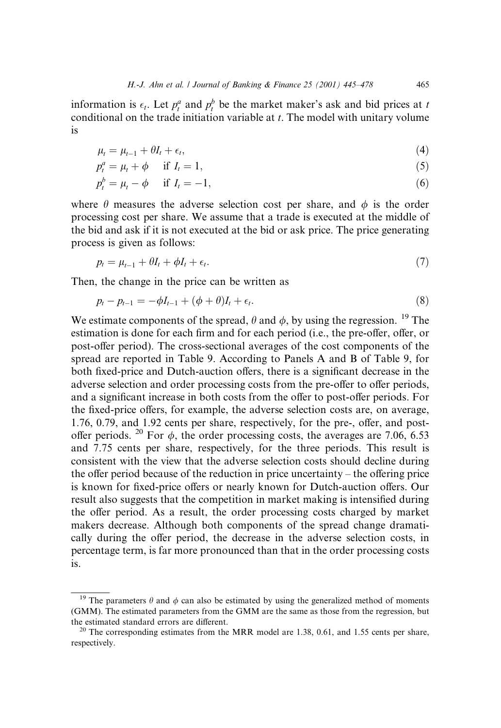information is  $\epsilon_t$ . Let  $p_t^a$  and  $p_t^b$  be the market maker's ask and bid prices at t conditional on the trade initiation variable at  $t$ . The model with unitary volume is

$$
\mu_t = \mu_{t-1} + \theta I_t + \epsilon_t, \tag{4}
$$

$$
p_t^a = \mu_t + \phi \quad \text{if } I_t = 1,\tag{5}
$$

$$
p_t^b = \mu_t - \phi \quad \text{if } I_t = -1,\tag{6}
$$

where  $\theta$  measures the adverse selection cost per share, and  $\phi$  is the order processing cost per share. We assume that a trade is executed at the middle of the bid and ask if it is not executed at the bid or ask price. The price generating process is given as follows:

$$
p_t = \mu_{t-1} + \theta I_t + \phi I_t + \epsilon_t. \tag{7}
$$

Then, the change in the price can be written as

$$
p_t - p_{t-1} = -\phi I_{t-1} + (\phi + \theta)I_t + \epsilon_t.
$$
\n(8)

We estimate components of the spread,  $\theta$  and  $\phi$ , by using the regression. <sup>19</sup> The estimation is done for each firm and for each period (i.e., the pre-offer, offer, or post-offer period). The cross-sectional averages of the cost components of the spread are reported in Table 9. According to Panels A and B of Table 9, for both fixed-price and Dutch-auction offers, there is a significant decrease in the adverse selection and order processing costs from the pre-offer to offer periods, and a significant increase in both costs from the offer to post-offer periods. For the fixed-price offers, for example, the adverse selection costs are, on average,  $1.76$ ,  $0.79$ , and  $1.92$  cents per share, respectively, for the pre-, offer, and postoffer periods. <sup>20</sup> For  $\phi$ , the order processing costs, the averages are 7.06, 6.53 and 7.75 cents per share, respectively, for the three periods. This result is consistent with the view that the adverse selection costs should decline during the offer period because of the reduction in price uncertainty  $-$  the offering price is known for fixed-price offers or nearly known for Dutch-auction offers. Our result also suggests that the competition in market making is intensified during the offer period. As a result, the order processing costs charged by market makers decrease. Although both components of the spread change dramatically during the offer period, the decrease in the adverse selection costs, in percentage term, is far more pronounced than that in the order processing costs is.

<sup>&</sup>lt;sup>19</sup> The parameters  $\theta$  and  $\phi$  can also be estimated by using the generalized method of moments (GMM). The estimated parameters from the GMM are the same as those from the regression, but the estimated standard errors are different.<br><sup>20</sup> The corresponding estimates from the MRR model are 1.38, 0.61, and 1.55 cents per share,

respectively.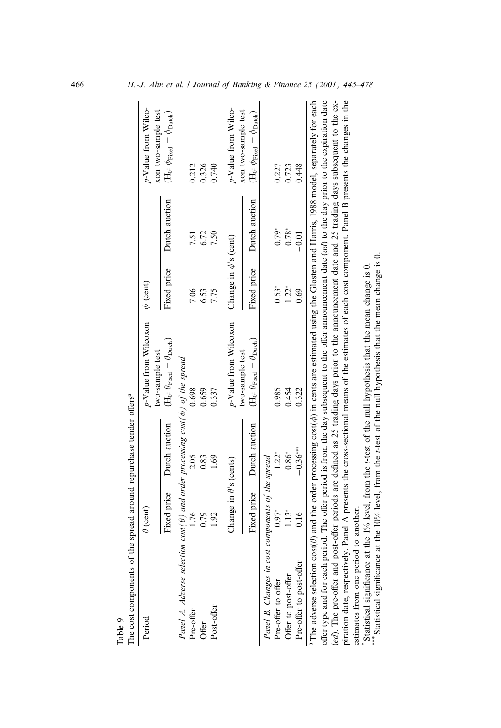| The cost components of the spread around repurchase tender offers <sup>a</sup>                                                                                                   |                               |               |                                                                           |                            |               |                                                                           |
|----------------------------------------------------------------------------------------------------------------------------------------------------------------------------------|-------------------------------|---------------|---------------------------------------------------------------------------|----------------------------|---------------|---------------------------------------------------------------------------|
| Period                                                                                                                                                                           | $\theta$ (cent)               |               | p-Value from Wilcoxon<br>two-sample test                                  | $\phi$ (cent)              |               | p-Value from Wilco-<br>xon two-sample test                                |
|                                                                                                                                                                                  | Fixed price                   | Dutch auction | $(H_0: \theta_{\text{Fixed}} = \theta_{\text{Dutch}})$                    | Fixed price                | Dutch auction | (H <sub>0</sub> : $\phi_{\text{Fixed}} = \phi_{\text{Dutch}}$ )           |
| Panel A. Adverse selection cost( $\theta$ ) and order processing cost( $\phi$ ) of the spread                                                                                    |                               |               |                                                                           |                            |               |                                                                           |
| Pre-offer                                                                                                                                                                        | 1.76                          | 2.05          | 0.698                                                                     | 7.06                       | 7.51          | 0.212                                                                     |
| Offer                                                                                                                                                                            | 0.79                          | 0.83          | 0.659                                                                     | 6.53                       | 6.72          | 0.326                                                                     |
| Post-offer                                                                                                                                                                       | 1.92                          | 1.69          | 0.337                                                                     | 7.75                       | 7.50          | 0.740                                                                     |
|                                                                                                                                                                                  | Change in $\theta$ 's (cents) |               | p-Value from Wilcoxon                                                     | Change in $\phi$ 's (cent) |               | p-Value from Wilco-                                                       |
|                                                                                                                                                                                  | Fixed price                   | Dutch auction | $(H_0: \theta_{\text{Fixed}} = \theta_{\text{Dutch}})$<br>two-sample test | Fixed price                | Dutch auction | xon two-sample test<br>$(H_0: \phi_{\text{Fixed}} = \phi_{\text{Dutch}})$ |
| Panel B. Changes in cost components of the spread                                                                                                                                |                               |               |                                                                           |                            |               |                                                                           |
| Pre-offer to offer                                                                                                                                                               | $-0.97*$                      | $-1.22*$      | 0.985                                                                     | $-0.53*$                   | $-0.79*$      | 0.227                                                                     |
| Offer to post-offer                                                                                                                                                              | $1.13*$                       | $0.86^\ast$   | 0.454                                                                     | $1.22*$                    | $0.78*$       | 0.723                                                                     |
| Pre-offer to post-offer                                                                                                                                                          | 0.16                          | $-0.36***$    | 0.322                                                                     | 0.69                       | $-0.01$       | 0.448                                                                     |
| <sup>a</sup> The adverse selection cost( $\theta$ ) and the order processing cost( $\phi$ ) in cents are estimated using the Glosten and Harris, 1988 model, separately for each |                               |               |                                                                           |                            |               |                                                                           |
| offer type and for each period. The offer period is from the day subsequent to the offer announcement date $(ad)$ to the day prior to the expiration date                        |                               |               |                                                                           |                            |               |                                                                           |
| (ed). The pre-offer and post-offer periods are defined as 25 trading days prior to the announcement date and 25 trading days subsequent to the ex-                               |                               |               |                                                                           |                            |               |                                                                           |
| piration date, respectively. Panel A presents the cross-sectional means of the estimates of each cost component. Panel B presents the changes in the                             |                               |               |                                                                           |                            |               |                                                                           |
| estimates from one period to another.                                                                                                                                            |                               |               |                                                                           |                            |               |                                                                           |
| *Statistical significance at the 1% level, from the t-test of the null hypothesis that the mean change is 0.                                                                     |                               |               |                                                                           |                            |               |                                                                           |
| **** Statistical significance at the 10% level, from the t-test of the null hypothesis that the mean change is 0.                                                                |                               |               |                                                                           |                            |               |                                                                           |

Table 9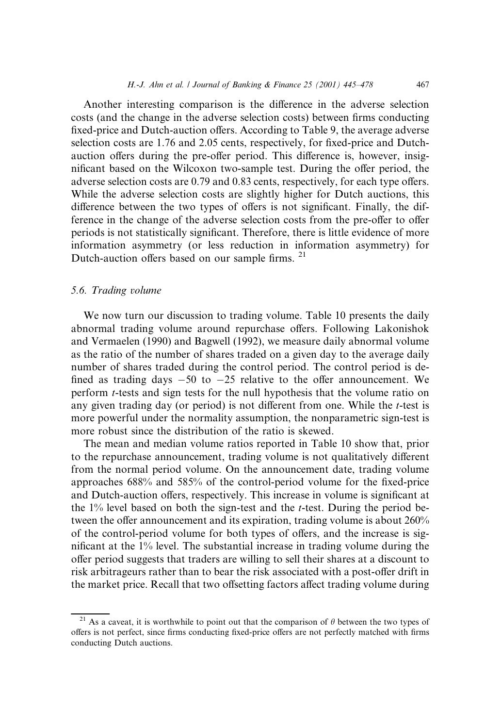Another interesting comparison is the difference in the adverse selection costs (and the change in the adverse selection costs) between firms conducting fixed-price and Dutch-auction offers. According to Table 9, the average adverse selection costs are 1.76 and 2.05 cents, respectively, for fixed-price and Dutchauction offers during the pre-offer period. This difference is, however, insignificant based on the Wilcoxon two-sample test. During the offer period, the adverse selection costs are 0.79 and 0.83 cents, respectively, for each type offers. While the adverse selection costs are slightly higher for Dutch auctions, this difference between the two types of offers is not significant. Finally, the difference in the change of the adverse selection costs from the pre-offer to offer periods is not statistically significant. Therefore, there is little evidence of more information asymmetry (or less reduction in information asymmetry) for Dutch-auction offers based on our sample firms. <sup>21</sup>

### 5.6. Trading volume

We now turn our discussion to trading volume. Table 10 presents the daily abnormal trading volume around repurchase offers. Following Lakonishok and Vermaelen (1990) and Bagwell (1992), we measure daily abnormal volume as the ratio of the number of shares traded on a given day to the average daily number of shares traded during the control period. The control period is de fined as trading days  $-50$  to  $-25$  relative to the offer announcement. We perform t-tests and sign tests for the null hypothesis that the volume ratio on any given trading day (or period) is not different from one. While the  $t$ -test is more powerful under the normality assumption, the nonparametric sign-test is more robust since the distribution of the ratio is skewed.

The mean and median volume ratios reported in Table 10 show that, prior to the repurchase announcement, trading volume is not qualitatively different from the normal period volume. On the announcement date, trading volume approaches  $688\%$  and  $585\%$  of the control-period volume for the fixed-price and Dutch-auction offers, respectively. This increase in volume is significant at the  $1\%$  level based on both the sign-test and the t-test. During the period between the offer announcement and its expiration, trading volume is about  $260\%$ of the control-period volume for both types of offers, and the increase is significant at the 1% level. The substantial increase in trading volume during the offer period suggests that traders are willing to sell their shares at a discount to risk arbitrageurs rather than to bear the risk associated with a post-offer drift in the market price. Recall that two offsetting factors affect trading volume during

<sup>&</sup>lt;sup>21</sup> As a caveat, it is worthwhile to point out that the comparison of  $\theta$  between the two types of offers is not perfect, since firms conducting fixed-price offers are not perfectly matched with firms conducting Dutch auctions.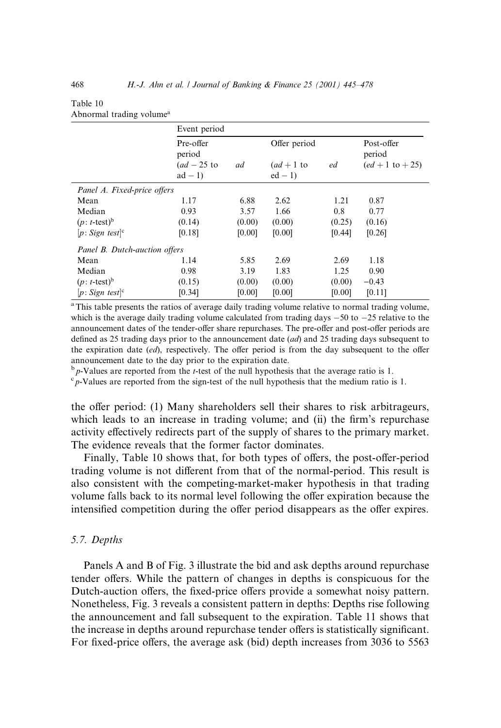| Table 10                             |  |  |
|--------------------------------------|--|--|
| Abnormal trading volume <sup>a</sup> |  |  |

|                               | Event period        |        |              |        |                      |
|-------------------------------|---------------------|--------|--------------|--------|----------------------|
|                               | Pre-offer<br>period |        | Offer period |        | Post-offer<br>period |
|                               | $(ad-25$ to         | ad     | $(ad+1$ to   | ed     | $(ed + 1 to + 25)$   |
|                               | $ad - 1$            |        | $ed-1$       |        |                      |
| Panel A. Fixed-price offers   |                     |        |              |        |                      |
| Mean                          | 1.17                | 6.88   | 2.62         | 1.21   | 0.87                 |
| Median                        | 0.93                | 3.57   | 1.66         | 0.8    | 0.77                 |
| $(p: t\text{-test})^b$        | (0.14)              | (0.00) | (0.00)       | (0.25) | (0.16)               |
| $[p: Sign$ test <sup>c</sup>  | [0.18]              | [0.00] | [0.00]       | [0.44] | [0.26]               |
| Panel B. Dutch-auction offers |                     |        |              |        |                      |
| Mean                          | 1.14                | 5.85   | 2.69         | 2.69   | 1.18                 |
| Median                        | 0.98                | 3.19   | 1.83         | 1.25   | 0.90                 |
| $(p: t\text{-test})^b$        | (0.15)              | (0.00) | (0.00)       | (0.00) | $-0.43$              |
| $[p: Sign$ test <sup>c</sup>  | [0.34]              | [0.00] | [0.00]       | [0.00] | [0.11]               |

<sup>a</sup>This table presents the ratios of average daily trading volume relative to normal trading volume, which is the average daily trading volume calculated from trading days  $-50$  to  $-25$  relative to the announcement dates of the tender-offer share repurchases. The pre-offer and post-offer periods are defined as 25 trading days prior to the announcement date  $(ad)$  and 25 trading days subsequent to the expiration date  $(ed)$ , respectively. The offer period is from the day subsequent to the offer announcement date to the day prior to the expiration date.

 $b$  p-Values are reported from the *t*-test of the null hypothesis that the average ratio is 1.

 $\epsilon_p$ -Values are reported from the sign-test of the null hypothesis that the medium ratio is 1.

the offer period: (1) Many shareholders sell their shares to risk arbitrageurs, which leads to an increase in trading volume; and (ii) the firm's repurchase activity effectively redirects part of the supply of shares to the primary market. The evidence reveals that the former factor dominates.

Finally, Table 10 shows that, for both types of offers, the post-offer-period trading volume is not different from that of the normal-period. This result is also consistent with the competing-market-maker hypothesis in that trading volume falls back to its normal level following the offer expiration because the intensified competition during the offer period disappears as the offer expires.

#### 5.7. Depths

Panels A and B of Fig. 3 illustrate the bid and ask depths around repurchase tender offers. While the pattern of changes in depths is conspicuous for the Dutch-auction offers, the fixed-price offers provide a somewhat noisy pattern. Nonetheless, Fig. 3 reveals a consistent pattern in depths: Depths rise following the announcement and fall subsequent to the expiration. Table 11 shows that the increase in depths around repurchase tender offers is statistically significant. For fixed-price offers, the average ask (bid) depth increases from 3036 to 5563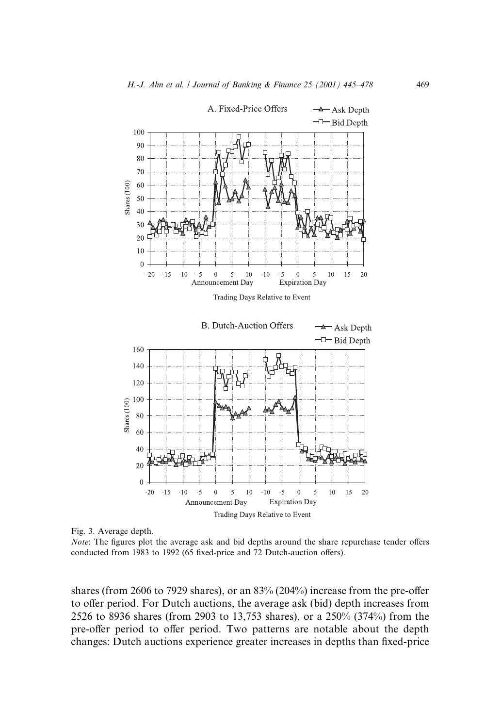

Fig. 3. Average depth.

*Note*: The figures plot the average ask and bid depths around the share repurchase tender offers conducted from 1983 to 1992 (65 fixed-price and 72 Dutch-auction offers).

shares (from 2606 to 7929 shares), or an  $83\%$  (204%) increase from the pre-offer to offer period. For Dutch auctions, the average ask (bid) depth increases from 2526 to 8936 shares (from 2903 to 13,753 shares), or a 250% (374%) from the pre-offer period to offer period. Two patterns are notable about the depth changes: Dutch auctions experience greater increases in depths than fixed-price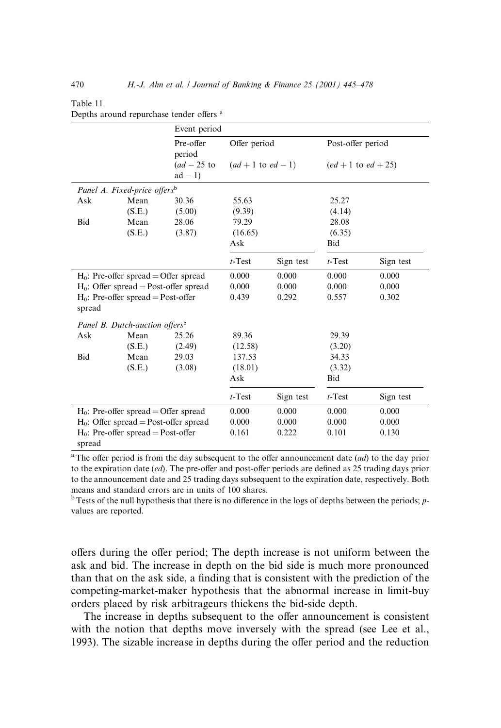| Event period                                    |        |                         |                        |           |                       |           |
|-------------------------------------------------|--------|-------------------------|------------------------|-----------|-----------------------|-----------|
|                                                 |        | Pre-offer<br>period     | Offer period           |           | Post-offer period     |           |
|                                                 |        | $(ad-25$ to<br>$ad - 1$ | $(ad + 1$ to $ed - 1)$ |           | $(ed + 1 to ed + 25)$ |           |
| Panel A. Fixed-price offers <sup>b</sup>        |        |                         |                        |           |                       |           |
| Ask                                             | Mean   | 30.36                   | 55.63                  |           | 25.27                 |           |
|                                                 | (S.E.) | (5.00)                  | (9.39)                 |           | (4.14)                |           |
| Bid                                             | Mean   | 28.06                   | 79.29                  |           | 28.08                 |           |
|                                                 | (S.E.) | (3.87)                  | (16.65)                |           | (6.35)                |           |
|                                                 |        |                         | Ask                    |           | Bid                   |           |
|                                                 |        |                         | $t$ -Test              | Sign test | $t$ -Test             | Sign test |
| $H_0$ : Pre-offer spread = Offer spread         |        |                         | 0.000                  | 0.000     | 0.000                 | 0.000     |
| $H_0$ : Offer spread = Post-offer spread        |        |                         | 0.000                  | 0.000     | 0.000                 | 0.000     |
| $H_0$ : Pre-offer spread = Post-offer<br>spread |        | 0.439                   | 0.292                  | 0.557     | 0.302                 |           |
| Panel B. Dutch-auction offers <sup>b</sup>      |        |                         |                        |           |                       |           |
| Ask                                             | Mean   | 25.26                   | 89.36                  |           | 29.39                 |           |
|                                                 | (S.E.) | (2.49)                  | (12.58)                |           | (3.20)                |           |
| Bid                                             | Mean   | 29.03                   | 137.53                 |           | 34.33                 |           |
|                                                 | (S.E.) | (3.08)                  | (18.01)                |           | (3.32)                |           |
|                                                 |        |                         | Ask                    |           | Bid                   |           |
|                                                 |        |                         | $t$ -Test              | Sign test | $t$ -Test             | Sign test |
| $H_0$ : Pre-offer spread = Offer spread         |        |                         | 0.000                  | 0.000     | 0.000                 | 0.000     |
| $H_0$ : Offer spread = Post-offer spread        |        |                         | 0.000                  | 0.000     | 0.000                 | 0.000     |
| $H_0$ : Pre-offer spread = Post-offer           |        |                         | 0.161                  | 0.222     | 0.101                 | 0.130     |
| spread                                          |        |                         |                        |           |                       |           |

#### Table 11 Depths around repurchase tender offers <sup>a</sup>

<sup>a</sup>The offer period is from the day subsequent to the offer announcement date  $(ad)$  to the day prior to the expiration date  $(ed)$ . The pre-offer and post-offer periods are defined as 25 trading days prior to the announcement date and 25 trading days subsequent to the expiration date, respectively. Both means and standard errors are in units of 100 shares.

 $b$ Tests of the null hypothesis that there is no difference in the logs of depths between the periods;  $p$ values are reported.

offers during the offer period; The depth increase is not uniform between the ask and bid. The increase in depth on the bid side is much more pronounced than that on the ask side, a finding that is consistent with the prediction of the competing-market-maker hypothesis that the abnormal increase in limit-buy orders placed by risk arbitrageurs thickens the bid-side depth.

The increase in depths subsequent to the offer announcement is consistent with the notion that depths move inversely with the spread (see Lee et al., 1993). The sizable increase in depths during the offer period and the reduction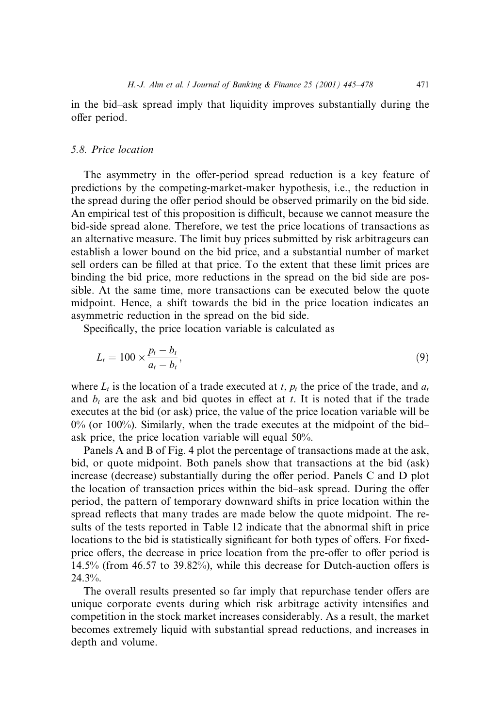in the bid-ask spread imply that liquidity improves substantially during the offer period.

# 5.8. Price location

The asymmetry in the offer-period spread reduction is a key feature of predictions by the competing-market-maker hypothesis, i.e., the reduction in the spread during the offer period should be observed primarily on the bid side. An empirical test of this proposition is difficult, because we cannot measure the bid-side spread alone. Therefore, we test the price locations of transactions as an alternative measure. The limit buy prices submitted by risk arbitrageurs can establish a lower bound on the bid price, and a substantial number of market sell orders can be filled at that price. To the extent that these limit prices are binding the bid price, more reductions in the spread on the bid side are possible. At the same time, more transactions can be executed below the quote midpoint. Hence, a shift towards the bid in the price location indicates an asymmetric reduction in the spread on the bid side.

Specifically, the price location variable is calculated as

$$
L_t = 100 \times \frac{p_t - b_t}{a_t - b_t},\tag{9}
$$

where  $L_t$  is the location of a trade executed at t,  $p_t$  the price of the trade, and  $a_t$ and  $b_t$  are the ask and bid quotes in effect at t. It is noted that if the trade executes at the bid (or ask) price, the value of the price location variable will be  $0\%$  (or 100%). Similarly, when the trade executes at the midpoint of the bidask price, the price location variable will equal 50%.

Panels A and B of Fig. 4 plot the percentage of transactions made at the ask, bid, or quote midpoint. Both panels show that transactions at the bid (ask) increase (decrease) substantially during the offer period. Panels  $C$  and  $D$  plot the location of transaction prices within the bid-ask spread. During the offer period, the pattern of temporary downward shifts in price location within the spread reflects that many trades are made below the quote midpoint. The results of the tests reported in Table 12 indicate that the abnormal shift in price locations to the bid is statistically significant for both types of offers. For fixedprice offers, the decrease in price location from the pre-offer to offer period is  $14.5\%$  (from 46.57 to 39.82%), while this decrease for Dutch-auction offers is  $24.3\%$ .

The overall results presented so far imply that repurchase tender offers are unique corporate events during which risk arbitrage activity intensifies and competition in the stock market increases considerably. As a result, the market becomes extremely liquid with substantial spread reductions, and increases in depth and volume.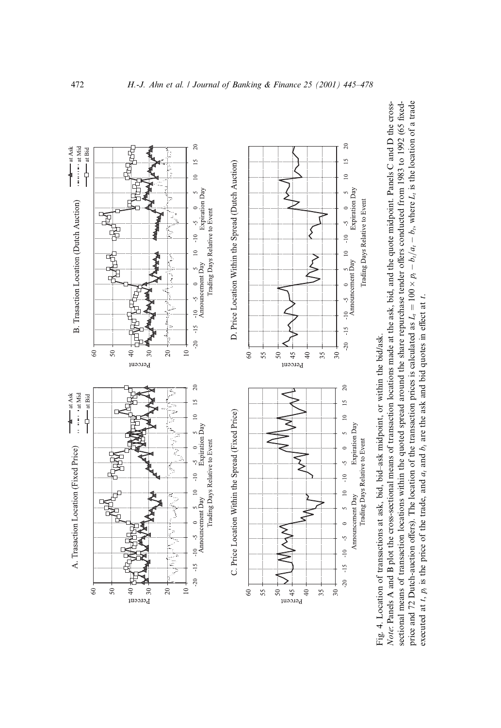

Fig. 4. Location of transactions at ask, bid, bid-ask midpoint, or within the bid/ask. Fig. 4. Location of transactions at ask, bid, bid±ask midpoint, or within the bid/ask.

sectional means of transaction locations within the quoted spread around the share repurchase tender offers conducted from 1983 to 1992 (65 fixedprice and 72 Dutch-auction offers). The location of the transaction prices is calculated as  $L_l = 100 \times p_l - b_l/a_l - b_l$ , where  $L_l$  is the location of a trade Note: Panels A and B plot the cross-sectional means of transaction locations made at the ask, bid, and the quote midpoint. Panels C and D the cross-Note: Panels A and B plot the cross-sectional means of transaction locations made at the ask, bid, and the quote midpoint. Panels C and D the crosssectional means of transaction locations within the quoted spread around the share repurchase tender offers conducted from 1983 to 1992 (65 fixed- $\times p_1 - b_1/a_1 - b_1$ , where L<sub>t</sub> is the location of a trade price and 72 Dutch-auction offers). The location of the transaction prices is calculated as  $L<sub>i</sub> = 100 \times$ executed at t,  $p_i$  is the price of the trade, and  $a_i$  and  $b_i$  are the ask and bid quotes in effect at t. executed at t,  $p_i$  is the price of the trade, and  $a_i$  and  $b_i$  are the ask and bid quotes in effect at t.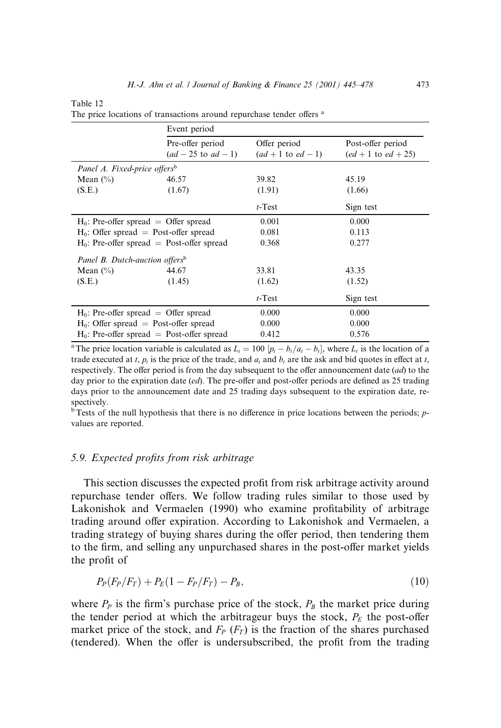Table 12

|                                              | Event period                                |                                        |                                            |
|----------------------------------------------|---------------------------------------------|----------------------------------------|--------------------------------------------|
|                                              | Pre-offer period<br>$(ad - 25$ to $ad - 1)$ | Offer period<br>$(ad + 1$ to $ed - 1)$ | Post-offer period<br>$(ed + 1 to ed + 25)$ |
| Panel A. Fixed-price offersb                 |                                             |                                        |                                            |
| Mean $(\% )$                                 | 46.57                                       | 39.82                                  | 45.19                                      |
| (S.E.)                                       | (1.67)                                      | (1.91)                                 | (1.66)                                     |
|                                              |                                             | $t$ -Test                              | Sign test                                  |
| $H_0$ : Pre-offer spread = Offer spread      |                                             | 0.001                                  | 0.000                                      |
| $H_0$ : Offer spread = Post-offer spread     |                                             | 0.081                                  | 0.113                                      |
| $H_0$ : Pre-offer spread = Post-offer spread |                                             | 0.368                                  | 0.277                                      |
| Panel B. Dutch-auction offers <sup>b</sup>   |                                             |                                        |                                            |
| Mean $(\% )$                                 | 44.67                                       | 33.81                                  | 43.35                                      |
| (S.E.)                                       | (1.45)                                      | (1.62)                                 | (1.52)                                     |
|                                              |                                             | $t$ -Test                              | Sign test                                  |
| $H_0$ : Pre-offer spread = Offer spread      |                                             | 0.000                                  | 0.000                                      |
| $H_0$ : Offer spread = Post-offer spread     |                                             | 0.000                                  | 0.000                                      |
| $H_0$ : Pre-offer spread = Post-offer spread |                                             | 0.412                                  | 0.576                                      |

The price locations of transactions around repurchase tender offers <sup>a</sup>

<sup>a</sup>The price location variable is calculated as  $L_t = 100$   $[p_t - b_t/a_t - b_t]$ , where  $L_t$  is the location of a trade executed at t,  $p_t$  is the price of the trade, and  $a_t$  and  $b_t$  are the ask and bid quotes in effect at t, respectively. The offer period is from the day subsequent to the offer announcement date  $(ad)$  to the day prior to the expiration date  $(ed)$ . The pre-offer and post-offer periods are defined as 25 trading days prior to the announcement date and 25 trading days subsequent to the expiration date, respectively.

 $\overline{b}$  Tests of the null hypothesis that there is no difference in price locations between the periods; pvalues are reported.

# 5.9. Expected profits from risk arbitrage

This section discusses the expected profit from risk arbitrage activity around repurchase tender offers. We follow trading rules similar to those used by Lakonishok and Vermaelen (1990) who examine profitability of arbitrage trading around offer expiration. According to Lakonishok and Vermaelen, a trading strategy of buying shares during the offer period, then tendering them to the firm, and selling any unpurchased shares in the post-offer market yields the profit of

$$
P_P(F_P/F_T) + P_E(1 - F_P/F_T) - P_B,
$$
\n(10)

where  $P_P$  is the firm's purchase price of the stock,  $P_B$  the market price during the tender period at which the arbitrageur buys the stock,  $P_E$  the post-offer market price of the stock, and  $F_P$  ( $F_T$ ) is the fraction of the shares purchased (tendered). When the offer is undersubscribed, the profit from the trading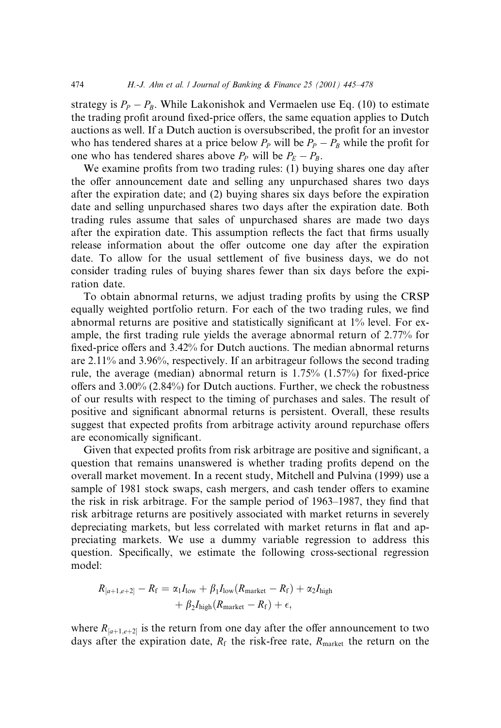strategy is  $P_P - P_B$ . While Lakonishok and Vermaelen use Eq. (10) to estimate the trading profit around fixed-price offers, the same equation applies to Dutch auctions as well. If a Dutch auction is oversubscribed, the profit for an investor who has tendered shares at a price below  $P_P$  will be  $P_P - P_B$  while the profit for one who has tendered shares above  $P_P$  will be  $P_E - P_B$ .

We examine profits from two trading rules: (1) buying shares one day after the offer announcement date and selling any unpurchased shares two days after the expiration date; and (2) buying shares six days before the expiration date and selling unpurchased shares two days after the expiration date. Both trading rules assume that sales of unpurchased shares are made two days after the expiration date. This assumption reflects the fact that firms usually release information about the offer outcome one day after the expiration date. To allow for the usual settlement of five business days, we do not consider trading rules of buying shares fewer than six days before the expiration date.

To obtain abnormal returns, we adjust trading profits by using the CRSP equally weighted portfolio return. For each of the two trading rules, we find abnormal returns are positive and statistically significant at 1% level. For example, the first trading rule yields the average abnormal return of 2.77% for fixed-price offers and 3.42% for Dutch auctions. The median abnormal returns are 2.11% and 3.96%, respectively. If an arbitrageur follows the second trading rule, the average (median) abnormal return is  $1.75\%$  (1.57%) for fixed-price offers and  $3.00\%$  (2.84%) for Dutch auctions. Further, we check the robustness of our results with respect to the timing of purchases and sales. The result of positive and significant abnormal returns is persistent. Overall, these results suggest that expected profits from arbitrage activity around repurchase offers are economically significant.

Given that expected profits from risk arbitrage are positive and significant, a question that remains unanswered is whether trading profits depend on the overall market movement. In a recent study, Mitchell and Pulvina (1999) use a sample of 1981 stock swaps, cash mergers, and cash tender offers to examine the risk in risk arbitrage. For the sample period of 1963–1987, they find that risk arbitrage returns are positively associated with market returns in severely depreciating markets, but less correlated with market returns in flat and appreciating markets. We use a dummy variable regression to address this question. Specifically, we estimate the following cross-sectional regression model:

$$
R_{[a+1,e+2]} - R_{\rm f} = \alpha_1 I_{\rm low} + \beta_1 I_{\rm low} (R_{\rm market} - R_{\rm f}) + \alpha_2 I_{\rm high} + \beta_2 I_{\rm high} (R_{\rm market} - R_{\rm f}) + \epsilon,
$$

where  $R_{a+1,e+2}$  is the return from one day after the offer announcement to two days after the expiration date,  $R_f$  the risk-free rate,  $R_{\text{market}}$  the return on the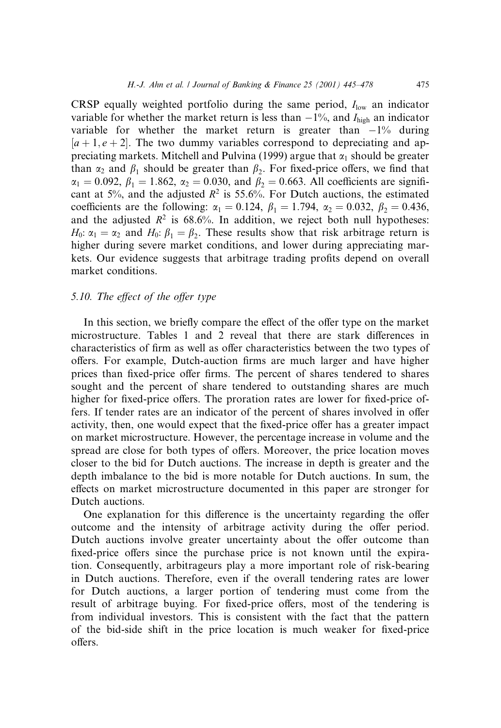CRSP equally weighted portfolio during the same period,  $I_{low}$  an indicator variable for whether the market return is less than  $-1\%$ , and  $I_{\text{high}}$  an indicator variable for whether the market return is greater than  $-1\%$  during  $[a + 1, e + 2]$ . The two dummy variables correspond to depreciating and appreciating markets. Mitchell and Pulvina (1999) argue that  $\alpha_1$  should be greater than  $\alpha_2$  and  $\beta_1$  should be greater than  $\beta_2$ . For fixed-price offers, we find that  $\alpha_1 = 0.092, \beta_1 = 1.862, \alpha_2 = 0.030, \text{ and } \beta_2 = 0.663. \text{ All coefficients are signifi-}$ cant at 5%, and the adjusted  $R^2$  is 55.6%. For Dutch auctions, the estimated coefficients are the following:  $\alpha_1 = 0.124$ ,  $\beta_1 = 1.794$ ,  $\alpha_2 = 0.032$ ,  $\beta_2 = 0.436$ , and the adjusted  $R^2$  is 68.6%. In addition, we reject both null hypotheses:  $H_0$ :  $\alpha_1 = \alpha_2$  and  $H_0$ :  $\beta_1 = \beta_2$ . These results show that risk arbitrage return is higher during severe market conditions, and lower during appreciating markets. Our evidence suggests that arbitrage trading profits depend on overall market conditions.

### 5.10. The effect of the offer type

In this section, we briefly compare the effect of the offer type on the market microstructure. Tables 1 and 2 reveal that there are stark differences in characteristics of firm as well as offer characteristics between the two types of offers. For example, Dutch-auction firms are much larger and have higher prices than fixed-price offer firms. The percent of shares tendered to shares sought and the percent of share tendered to outstanding shares are much higher for fixed-price offers. The proration rates are lower for fixed-price offers. If tender rates are an indicator of the percent of shares involved in offer activity, then, one would expect that the fixed-price offer has a greater impact on market microstructure. However, the percentage increase in volume and the spread are close for both types of offers. Moreover, the price location moves closer to the bid for Dutch auctions. The increase in depth is greater and the depth imbalance to the bid is more notable for Dutch auctions. In sum, the effects on market microstructure documented in this paper are stronger for Dutch auctions.

One explanation for this difference is the uncertainty regarding the offer outcome and the intensity of arbitrage activity during the offer period. Dutch auctions involve greater uncertainty about the offer outcome than fixed-price offers since the purchase price is not known until the expiration. Consequently, arbitrageurs play a more important role of risk-bearing in Dutch auctions. Therefore, even if the overall tendering rates are lower for Dutch auctions, a larger portion of tendering must come from the result of arbitrage buying. For fixed-price offers, most of the tendering is from individual investors. This is consistent with the fact that the pattern of the bid-side shift in the price location is much weaker for fixed-price offers.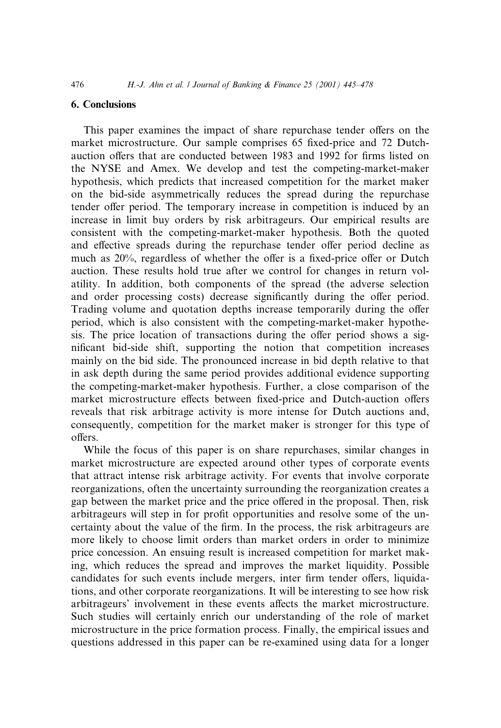#### 6. Conclusions

This paper examines the impact of share repurchase tender offers on the market microstructure. Our sample comprises 65 fixed-price and 72 Dutchauction offers that are conducted between 1983 and 1992 for firms listed on the NYSE and Amex. We develop and test the competing-market-maker hypothesis, which predicts that increased competition for the market maker on the bid-side asymmetrically reduces the spread during the repurchase tender offer period. The temporary increase in competition is induced by an increase in limit buy orders by risk arbitrageurs. Our empirical results are consistent with the competing-market-maker hypothesis. Both the quoted and effective spreads during the repurchase tender offer period decline as much as  $20\%$ , regardless of whether the offer is a fixed-price offer or Dutch auction. These results hold true after we control for changes in return volatility. In addition, both components of the spread (the adverse selection and order processing costs) decrease significantly during the offer period. Trading volume and quotation depths increase temporarily during the offer period, which is also consistent with the competing-market-maker hypothesis. The price location of transactions during the offer period shows a significant bid-side shift, supporting the notion that competition increases mainly on the bid side. The pronounced increase in bid depth relative to that in ask depth during the same period provides additional evidence supporting the competing-market-maker hypothesis. Further, a close comparison of the market microstructure effects between fixed-price and Dutch-auction offers reveals that risk arbitrage activity is more intense for Dutch auctions and, consequently, competition for the market maker is stronger for this type of offers

While the focus of this paper is on share repurchases, similar changes in market microstructure are expected around other types of corporate events that attract intense risk arbitrage activity. For events that involve corporate reorganizations, often the uncertainty surrounding the reorganization creates a gap between the market price and the price offered in the proposal. Then, risk arbitrageurs will step in for profit opportunities and resolve some of the uncertainty about the value of the firm. In the process, the risk arbitrageurs are more likely to choose limit orders than market orders in order to minimize price concession. An ensuing result is increased competition for market making, which reduces the spread and improves the market liquidity. Possible candidates for such events include mergers, inter firm tender offers, liquidations, and other corporate reorganizations. It will be interesting to see how risk arbitrageurs' involvement in these events affects the market microstructure. Such studies will certainly enrich our understanding of the role of market microstructure in the price formation process. Finally, the empirical issues and questions addressed in this paper can be re-examined using data for a longer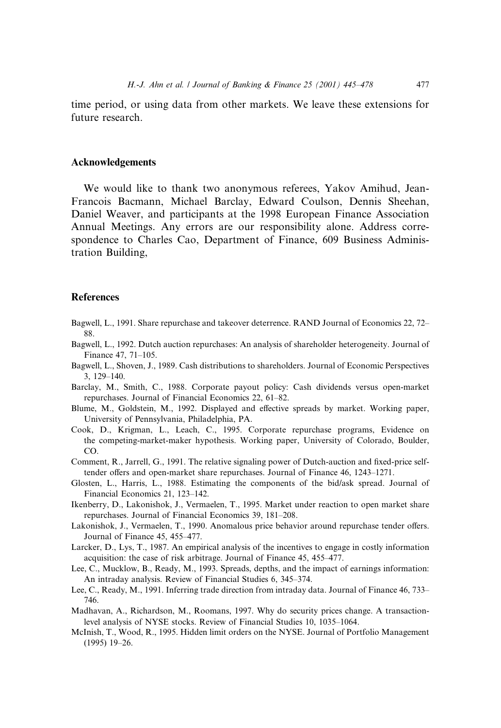time period, or using data from other markets. We leave these extensions for future research.

#### Acknowledgements

We would like to thank two anonymous referees, Yakov Amihud, Jean-Francois Bacmann, Michael Barclay, Edward Coulson, Dennis Sheehan, Daniel Weaver, and participants at the 1998 European Finance Association Annual Meetings. Any errors are our responsibility alone. Address correspondence to Charles Cao, Department of Finance, 609 Business Administration Building,

## **References**

- Bagwell, L., 1991. Share repurchase and takeover deterrence. RAND Journal of Economics 22, 72– 88.
- Bagwell, L., 1992. Dutch auction repurchases: An analysis of shareholder heterogeneity. Journal of Finance 47, 71-105.
- Bagwell, L., Shoven, J., 1989. Cash distributions to shareholders. Journal of Economic Perspectives 3, 129±140.
- Barclay, M., Smith, C., 1988. Corporate payout policy: Cash dividends versus open-market repurchases. Journal of Financial Economics 22, 61-82.
- Blume, M., Goldstein, M., 1992. Displayed and effective spreads by market. Working paper, University of Pennsylvania, Philadelphia, PA.
- Cook, D., Krigman, L., Leach, C., 1995. Corporate repurchase programs, Evidence on the competing-market-maker hypothesis. Working paper, University of Colorado, Boulder, CO.
- Comment, R., Jarrell, G., 1991. The relative signaling power of Dutch-auction and fixed-price selftender offers and open-market share repurchases. Journal of Finance 46, 1243-1271.
- Glosten, L., Harris, L., 1988. Estimating the components of the bid/ask spread. Journal of Financial Economics 21, 123-142.
- Ikenberry, D., Lakonishok, J., Vermaelen, T., 1995. Market under reaction to open market share repurchases. Journal of Financial Economics 39, 181-208.
- Lakonishok, J., Vermaelen, T., 1990. Anomalous price behavior around repurchase tender offers. Journal of Finance 45, 455-477.
- Larcker, D., Lys, T., 1987. An empirical analysis of the incentives to engage in costly information acquisition: the case of risk arbitrage. Journal of Finance 45, 455–477.
- Lee, C., Mucklow, B., Ready, M., 1993. Spreads, depths, and the impact of earnings information: An intraday analysis. Review of Financial Studies 6, 345-374.
- Lee, C., Ready, M., 1991. Inferring trade direction from intraday data. Journal of Finance 46, 733– 746.
- Madhavan, A., Richardson, M., Roomans, 1997. Why do security prices change. A transactionlevel analysis of NYSE stocks. Review of Financial Studies 10, 1035-1064.
- McInish, T., Wood, R., 1995. Hidden limit orders on the NYSE. Journal of Portfolio Management  $(1995)$  19-26.